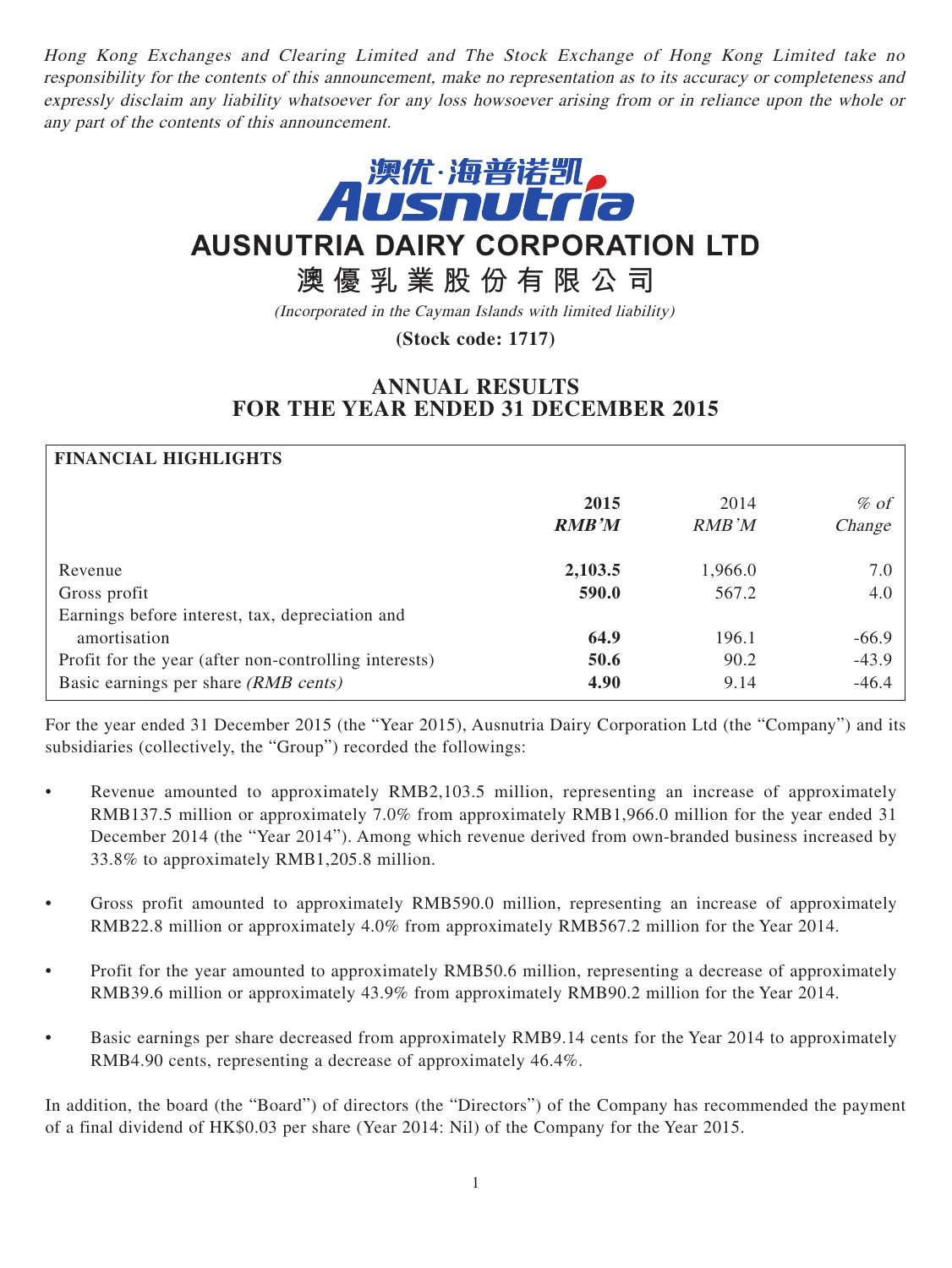Hong Kong Exchanges and Clearing Limited and The Stock Exchange of Hong Kong Limited take no responsibility for the contents of this announcement, make no representation as to its accuracy or completeness and expressly disclaim any liability whatsoever for any loss howsoever arising from or in reliance upon the whole or any part of the contents of this announcement.



# **AUSNUTRIA DAIRY CORPORATION LTD**

# **澳優乳業股份有限公司**

(Incorporated in the Cayman Islands with limited liability)

**(Stock code: 1717)**

## **ANNUAL RESULTS FOR THE YEAR ENDED 31 DECEMBER 2015**

| <b>FINANCIAL HIGHLIGHTS</b>                           |              |         |         |
|-------------------------------------------------------|--------------|---------|---------|
|                                                       | 2015         | 2014    | $%$ of  |
|                                                       | <b>RMB'M</b> | RMB'M   | Change  |
| Revenue                                               | 2,103.5      | 1,966.0 | 7.0     |
| Gross profit                                          | 590.0        | 567.2   | 4.0     |
| Earnings before interest, tax, depreciation and       |              |         |         |
| amortisation                                          | 64.9         | 196.1   | $-66.9$ |
| Profit for the year (after non-controlling interests) | 50.6         | 90.2    | $-43.9$ |
| Basic earnings per share (RMB cents)                  | 4.90         | 9.14    | $-46.4$ |

For the year ended 31 December 2015 (the "Year 2015), Ausnutria Dairy Corporation Ltd (the "Company") and its subsidiaries (collectively, the "Group") recorded the followings:

- Revenue amounted to approximately RMB2,103.5 million, representing an increase of approximately RMB137.5 million or approximately 7.0% from approximately RMB1,966.0 million for the year ended 31 December 2014 (the "Year 2014"). Among which revenue derived from own-branded business increased by 33.8% to approximately RMB1,205.8 million.
- Gross profit amounted to approximately RMB590.0 million, representing an increase of approximately RMB22.8 million or approximately 4.0% from approximately RMB567.2 million for the Year 2014.
- Profit for the year amounted to approximately RMB50.6 million, representing a decrease of approximately RMB39.6 million or approximately 43.9% from approximately RMB90.2 million for the Year 2014.
- Basic earnings per share decreased from approximately RMB9.14 cents for the Year 2014 to approximately RMB4.90 cents, representing a decrease of approximately 46.4%.

In addition, the board (the "Board") of directors (the "Directors") of the Company has recommended the payment of a final dividend of HK\$0.03 per share (Year 2014: Nil) of the Company for the Year 2015.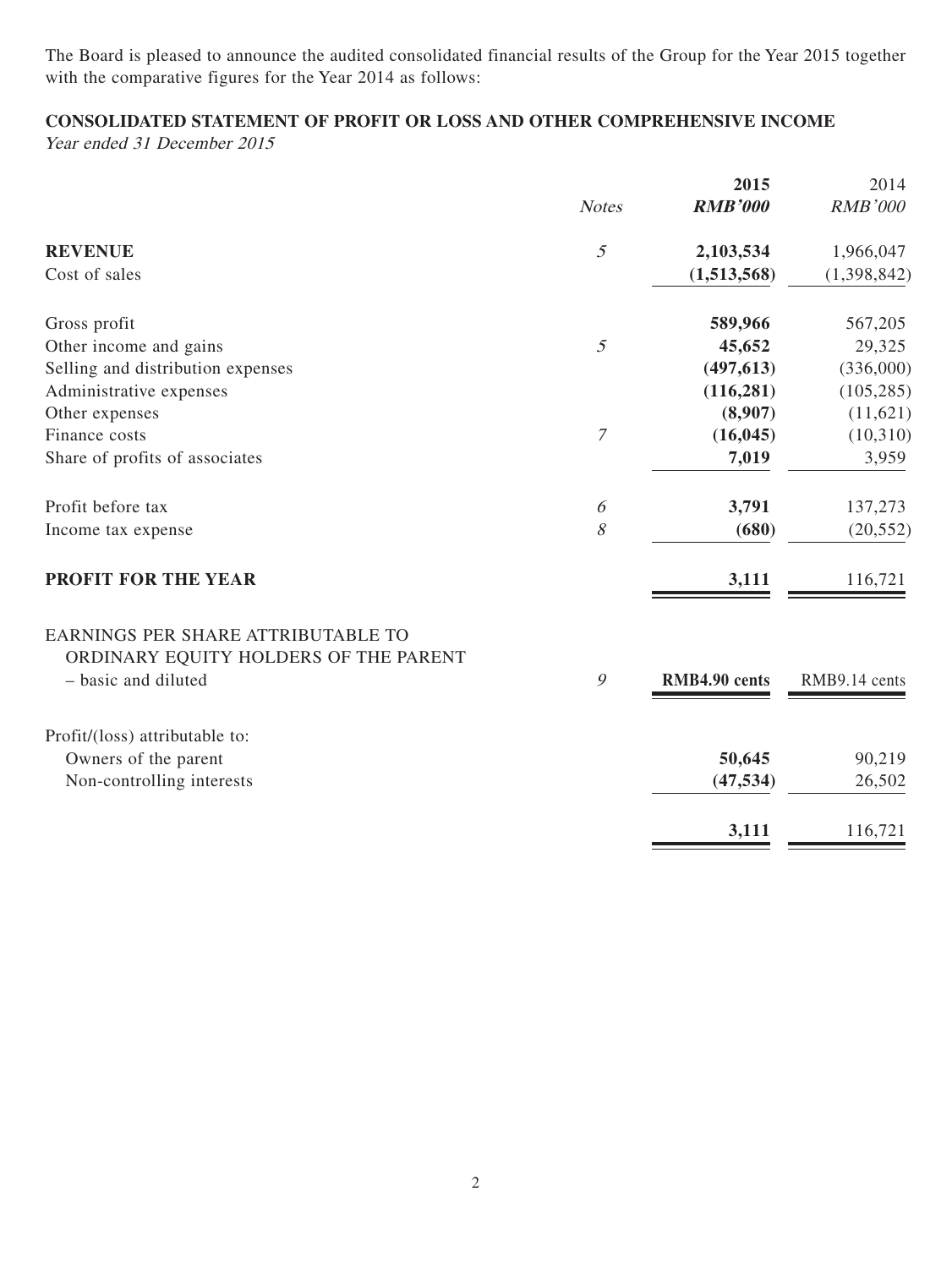The Board is pleased to announce the audited consolidated financial results of the Group for the Year 2015 together with the comparative figures for the Year 2014 as follows:

## **CONSOLIDATED STATEMENT OF PROFIT OR LOSS AND OTHER COMPREHENSIVE INCOME**

Year ended 31 December 2015

|                                                                             |                | 2015           | 2014           |
|-----------------------------------------------------------------------------|----------------|----------------|----------------|
|                                                                             | <b>Notes</b>   | <b>RMB'000</b> | <b>RMB'000</b> |
| <b>REVENUE</b>                                                              | 5              | 2,103,534      | 1,966,047      |
| Cost of sales                                                               |                | (1,513,568)    | (1,398,842)    |
| Gross profit                                                                |                | 589,966        | 567,205        |
| Other income and gains                                                      | $\mathfrak{I}$ | 45,652         | 29,325         |
| Selling and distribution expenses                                           |                | (497, 613)     | (336,000)      |
| Administrative expenses                                                     |                | (116, 281)     | (105, 285)     |
| Other expenses                                                              |                | (8,907)        | (11,621)       |
| Finance costs                                                               | $\overline{7}$ | (16, 045)      | (10,310)       |
| Share of profits of associates                                              |                | 7,019          | 3,959          |
| Profit before tax                                                           | 6              | 3,791          | 137,273        |
| Income tax expense                                                          | $\mathcal S$   | (680)          | (20, 552)      |
| <b>PROFIT FOR THE YEAR</b>                                                  |                | 3,111          | 116,721        |
| EARNINGS PER SHARE ATTRIBUTABLE TO<br>ORDINARY EQUITY HOLDERS OF THE PARENT |                |                |                |
| - basic and diluted                                                         | $\mathcal{G}$  | RMB4.90 cents  | RMB9.14 cents  |
| Profit/(loss) attributable to:                                              |                |                |                |
| Owners of the parent                                                        |                | 50,645         | 90,219         |
| Non-controlling interests                                                   |                | (47, 534)      | 26,502         |
|                                                                             |                | 3,111          | 116,721        |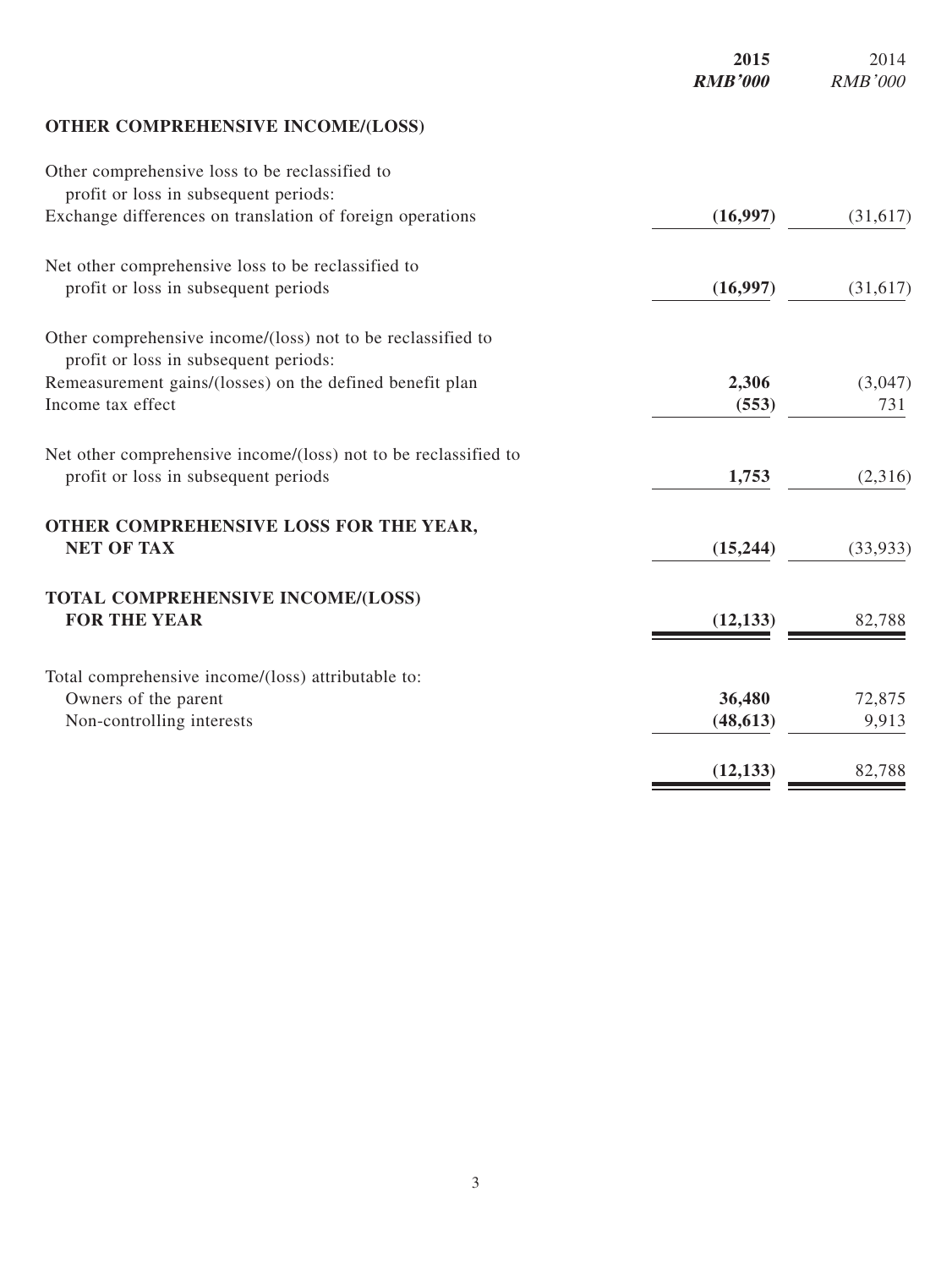|                                                                                                      | 2015<br><b>RMB'000</b> | 2014<br><b>RMB'000</b> |
|------------------------------------------------------------------------------------------------------|------------------------|------------------------|
| <b>OTHER COMPREHENSIVE INCOME/(LOSS)</b>                                                             |                        |                        |
| Other comprehensive loss to be reclassified to<br>profit or loss in subsequent periods:              |                        |                        |
| Exchange differences on translation of foreign operations                                            | (16,997)               | (31,617)               |
| Net other comprehensive loss to be reclassified to                                                   |                        |                        |
| profit or loss in subsequent periods                                                                 | (16,997)               | (31,617)               |
| Other comprehensive income/(loss) not to be reclassified to<br>profit or loss in subsequent periods: |                        |                        |
| Remeasurement gains/(losses) on the defined benefit plan                                             | 2,306                  | (3,047)                |
| Income tax effect                                                                                    | (553)                  | 731                    |
| Net other comprehensive income/(loss) not to be reclassified to                                      |                        |                        |
| profit or loss in subsequent periods                                                                 | 1,753                  | (2,316)                |
| OTHER COMPREHENSIVE LOSS FOR THE YEAR,                                                               |                        |                        |
| <b>NET OF TAX</b>                                                                                    | (15, 244)              | (33,933)               |
| TOTAL COMPREHENSIVE INCOME/(LOSS)                                                                    |                        |                        |
| <b>FOR THE YEAR</b>                                                                                  | (12, 133)              | 82,788                 |
| Total comprehensive income/(loss) attributable to:                                                   |                        |                        |
| Owners of the parent                                                                                 | 36,480                 | 72,875                 |
| Non-controlling interests                                                                            | (48, 613)              | 9,913                  |
|                                                                                                      | (12, 133)              | 82,788                 |
|                                                                                                      |                        |                        |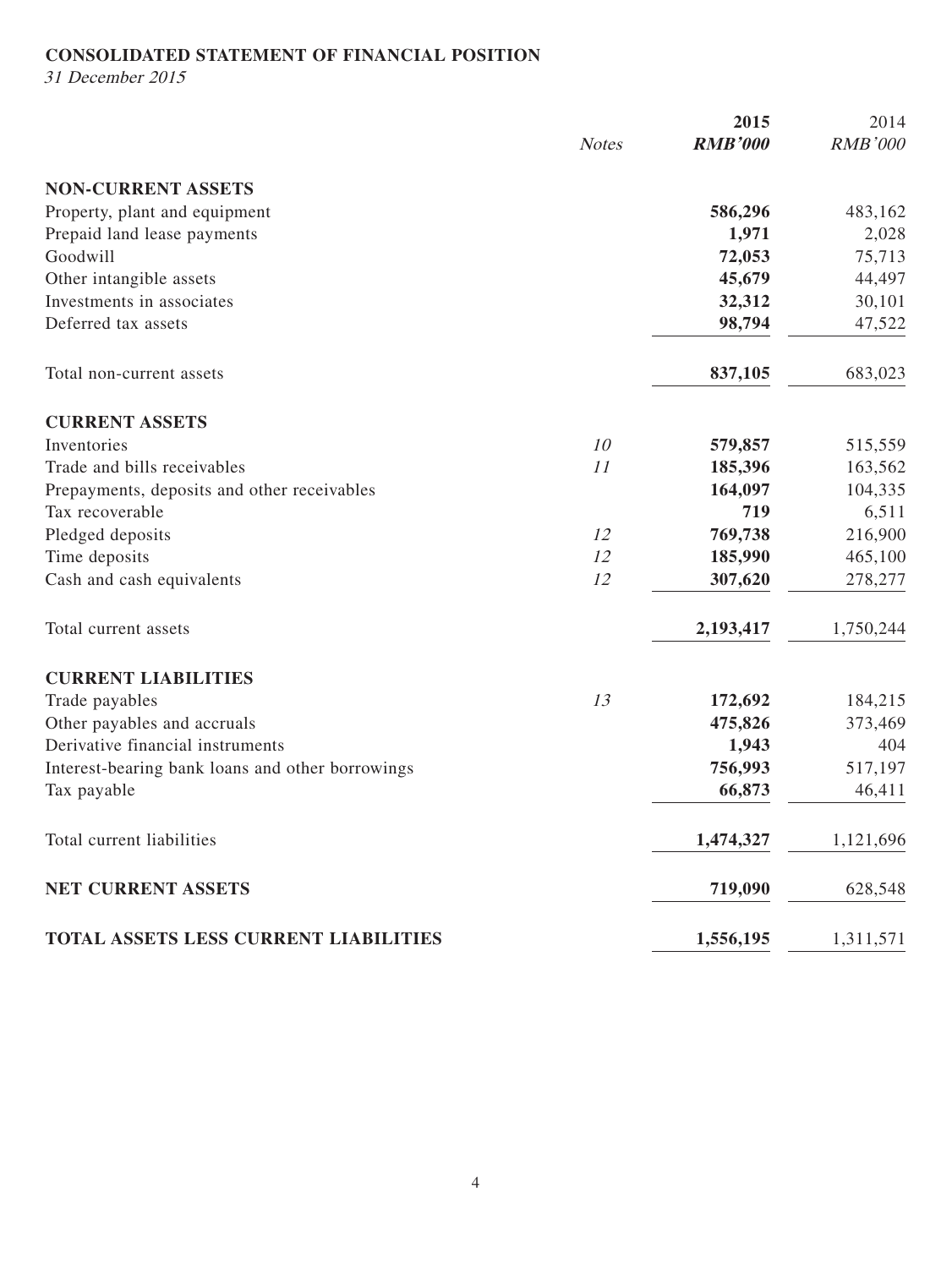## **CONSOLIDATED STATEMENT OF FINANCIAL POSITION**

31 December 2015

|                                                  |              | 2015           | 2014           |
|--------------------------------------------------|--------------|----------------|----------------|
|                                                  | <b>Notes</b> | <b>RMB'000</b> | <b>RMB'000</b> |
| <b>NON-CURRENT ASSETS</b>                        |              |                |                |
| Property, plant and equipment                    |              | 586,296        | 483,162        |
| Prepaid land lease payments                      |              | 1,971          | 2,028          |
| Goodwill                                         |              | 72,053         | 75,713         |
| Other intangible assets                          |              | 45,679         | 44,497         |
| Investments in associates                        |              | 32,312         | 30,101         |
| Deferred tax assets                              |              | 98,794         | 47,522         |
| Total non-current assets                         |              | 837,105        | 683,023        |
| <b>CURRENT ASSETS</b>                            |              |                |                |
| Inventories                                      | 10           | 579,857        | 515,559        |
| Trade and bills receivables                      | 11           | 185,396        | 163,562        |
| Prepayments, deposits and other receivables      |              | 164,097        | 104,335        |
| Tax recoverable                                  |              | 719            | 6,511          |
| Pledged deposits                                 | 12           | 769,738        | 216,900        |
| Time deposits                                    | 12           | 185,990        | 465,100        |
| Cash and cash equivalents                        | 12           | 307,620        | 278,277        |
| Total current assets                             |              | 2,193,417      | 1,750,244      |
| <b>CURRENT LIABILITIES</b>                       |              |                |                |
| Trade payables                                   | 13           | 172,692        | 184,215        |
| Other payables and accruals                      |              | 475,826        | 373,469        |
| Derivative financial instruments                 |              | 1,943          | 404            |
| Interest-bearing bank loans and other borrowings |              | 756,993        | 517,197        |
| Tax payable                                      |              | 66,873         | 46,411         |
| Total current liabilities                        |              | 1,474,327      | 1,121,696      |
| NET CURRENT ASSETS                               |              | 719,090        | 628,548        |
| TOTAL ASSETS LESS CURRENT LIABILITIES            |              | 1,556,195      | 1,311,571      |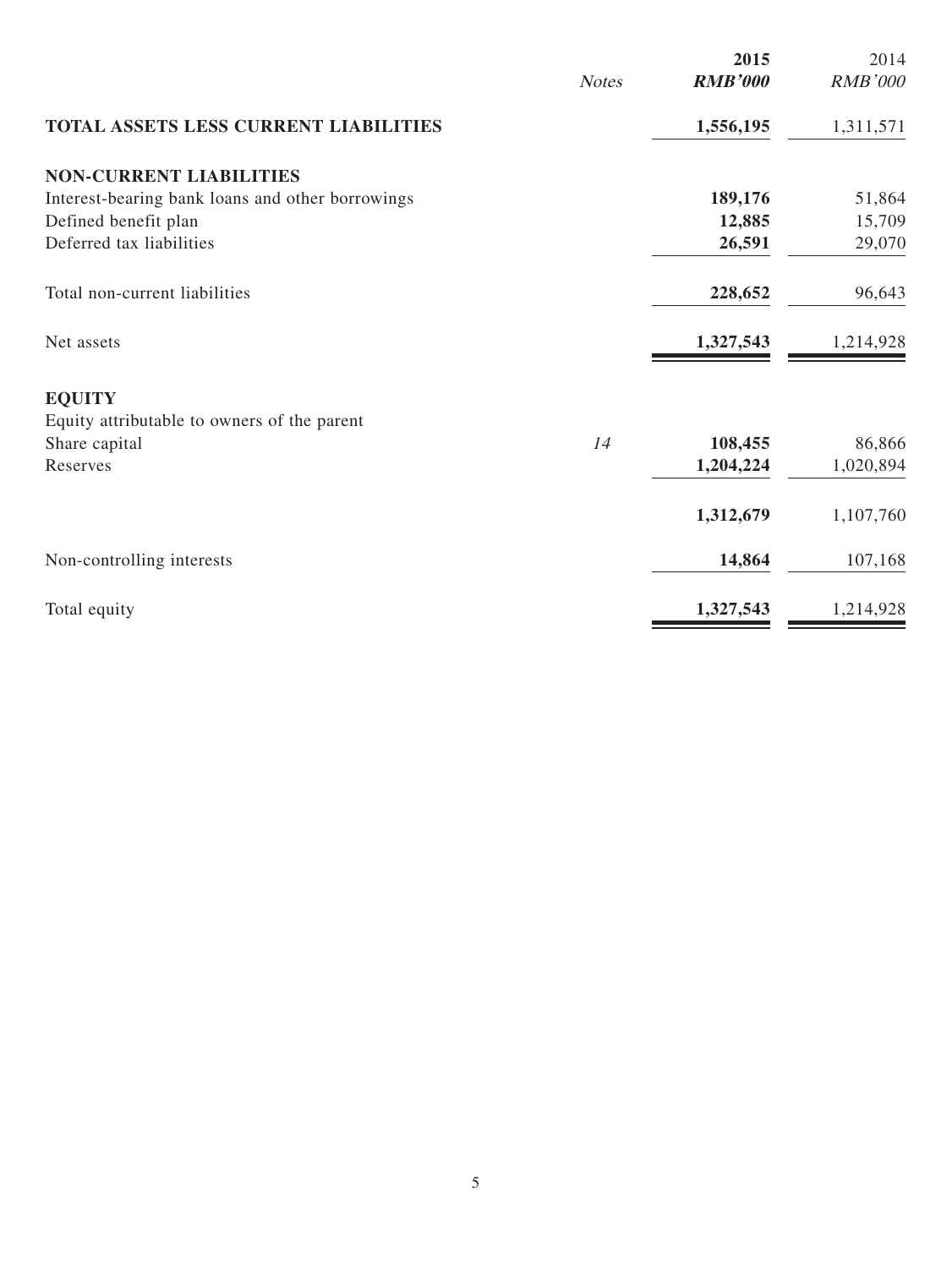|                                                  | <b>Notes</b> | 2015<br><b>RMB'000</b> | 2014<br><b>RMB'000</b> |
|--------------------------------------------------|--------------|------------------------|------------------------|
| <b>TOTAL ASSETS LESS CURRENT LIABILITIES</b>     |              | 1,556,195              | 1,311,571              |
| <b>NON-CURRENT LIABILITIES</b>                   |              |                        |                        |
| Interest-bearing bank loans and other borrowings |              | 189,176                | 51,864                 |
| Defined benefit plan                             |              | 12,885                 | 15,709                 |
| Deferred tax liabilities                         |              | 26,591                 | 29,070                 |
| Total non-current liabilities                    |              | 228,652                | 96,643                 |
| Net assets                                       |              | 1,327,543              | 1,214,928              |
| <b>EQUITY</b>                                    |              |                        |                        |
| Equity attributable to owners of the parent      |              |                        |                        |
| Share capital                                    | 14           | 108,455                | 86,866                 |
| Reserves                                         |              | 1,204,224              | 1,020,894              |
|                                                  |              | 1,312,679              | 1,107,760              |
| Non-controlling interests                        |              | 14,864                 | 107,168                |
| Total equity                                     |              | 1,327,543              | 1,214,928              |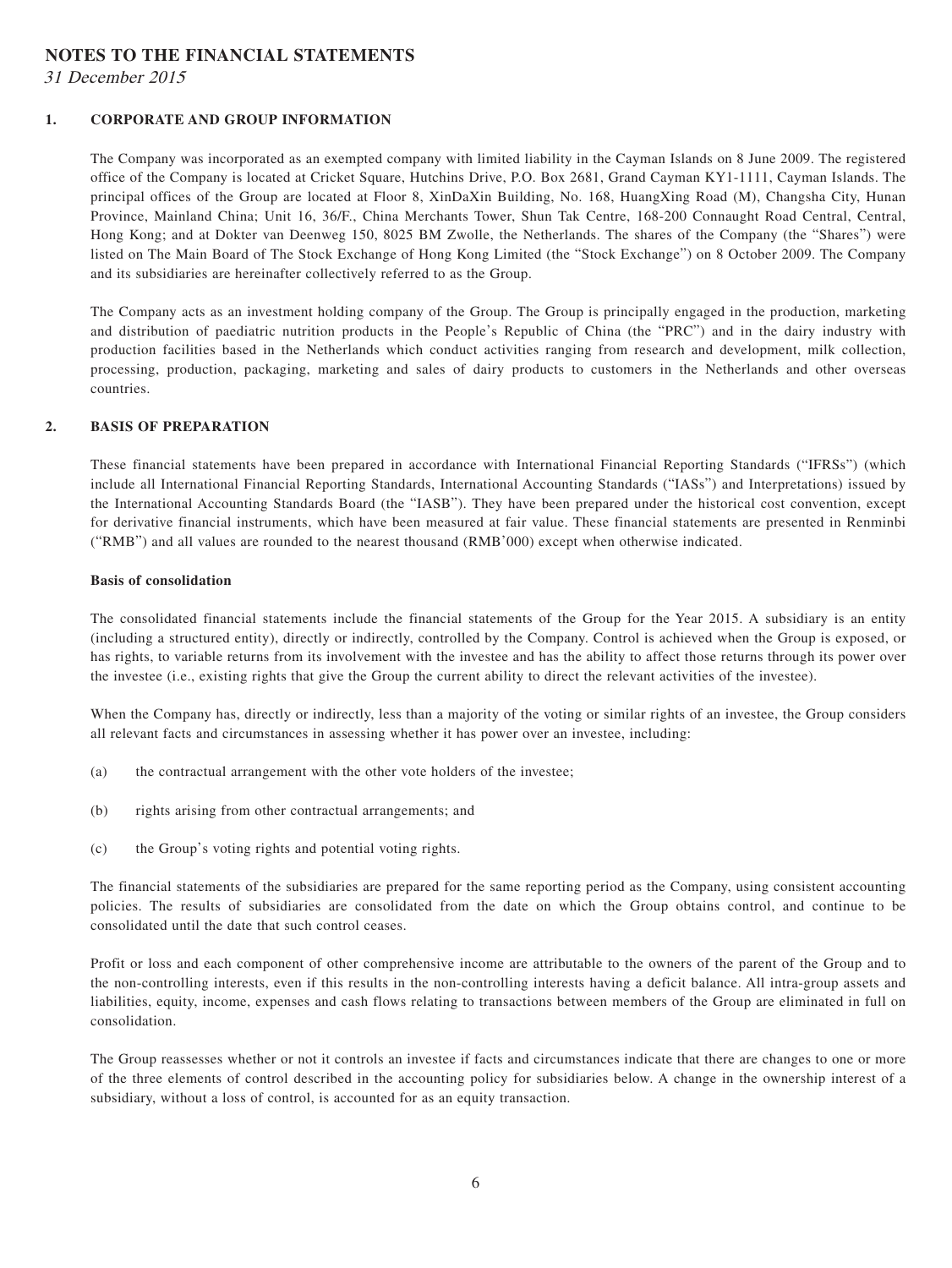#### **NOTES TO THE FINANCIAL STATEMENTS**

31 December 2015

#### **1. CORPORATE AND GROUP INFORMATION**

The Company was incorporated as an exempted company with limited liability in the Cayman Islands on 8 June 2009. The registered office of the Company is located at Cricket Square, Hutchins Drive, P.O. Box 2681, Grand Cayman KY1-1111, Cayman Islands. The principal offices of the Group are located at Floor 8, XinDaXin Building, No. 168, HuangXing Road (M), Changsha City, Hunan Province, Mainland China; Unit 16, 36/F., China Merchants Tower, Shun Tak Centre, 168-200 Connaught Road Central, Central, Hong Kong; and at Dokter van Deenweg 150, 8025 BM Zwolle, the Netherlands. The shares of the Company (the "Shares") were listed on The Main Board of The Stock Exchange of Hong Kong Limited (the "Stock Exchange") on 8 October 2009. The Company and its subsidiaries are hereinafter collectively referred to as the Group.

The Company acts as an investment holding company of the Group. The Group is principally engaged in the production, marketing and distribution of paediatric nutrition products in the People's Republic of China (the "PRC") and in the dairy industry with production facilities based in the Netherlands which conduct activities ranging from research and development, milk collection, processing, production, packaging, marketing and sales of dairy products to customers in the Netherlands and other overseas countries.

#### **2. BASIS OF PREPARATION**

These financial statements have been prepared in accordance with International Financial Reporting Standards ("IFRSs") (which include all International Financial Reporting Standards, International Accounting Standards ("IASs") and Interpretations) issued by the International Accounting Standards Board (the "IASB"). They have been prepared under the historical cost convention, except for derivative financial instruments, which have been measured at fair value. These financial statements are presented in Renminbi ("RMB") and all values are rounded to the nearest thousand (RMB'000) except when otherwise indicated.

#### **Basis of consolidation**

The consolidated financial statements include the financial statements of the Group for the Year 2015. A subsidiary is an entity (including a structured entity), directly or indirectly, controlled by the Company. Control is achieved when the Group is exposed, or has rights, to variable returns from its involvement with the investee and has the ability to affect those returns through its power over the investee (i.e., existing rights that give the Group the current ability to direct the relevant activities of the investee).

When the Company has, directly or indirectly, less than a majority of the voting or similar rights of an investee, the Group considers all relevant facts and circumstances in assessing whether it has power over an investee, including:

- (a) the contractual arrangement with the other vote holders of the investee;
- (b) rights arising from other contractual arrangements; and
- (c) the Group's voting rights and potential voting rights.

The financial statements of the subsidiaries are prepared for the same reporting period as the Company, using consistent accounting policies. The results of subsidiaries are consolidated from the date on which the Group obtains control, and continue to be consolidated until the date that such control ceases.

Profit or loss and each component of other comprehensive income are attributable to the owners of the parent of the Group and to the non-controlling interests, even if this results in the non-controlling interests having a deficit balance. All intra-group assets and liabilities, equity, income, expenses and cash flows relating to transactions between members of the Group are eliminated in full on consolidation.

The Group reassesses whether or not it controls an investee if facts and circumstances indicate that there are changes to one or more of the three elements of control described in the accounting policy for subsidiaries below. A change in the ownership interest of a subsidiary, without a loss of control, is accounted for as an equity transaction.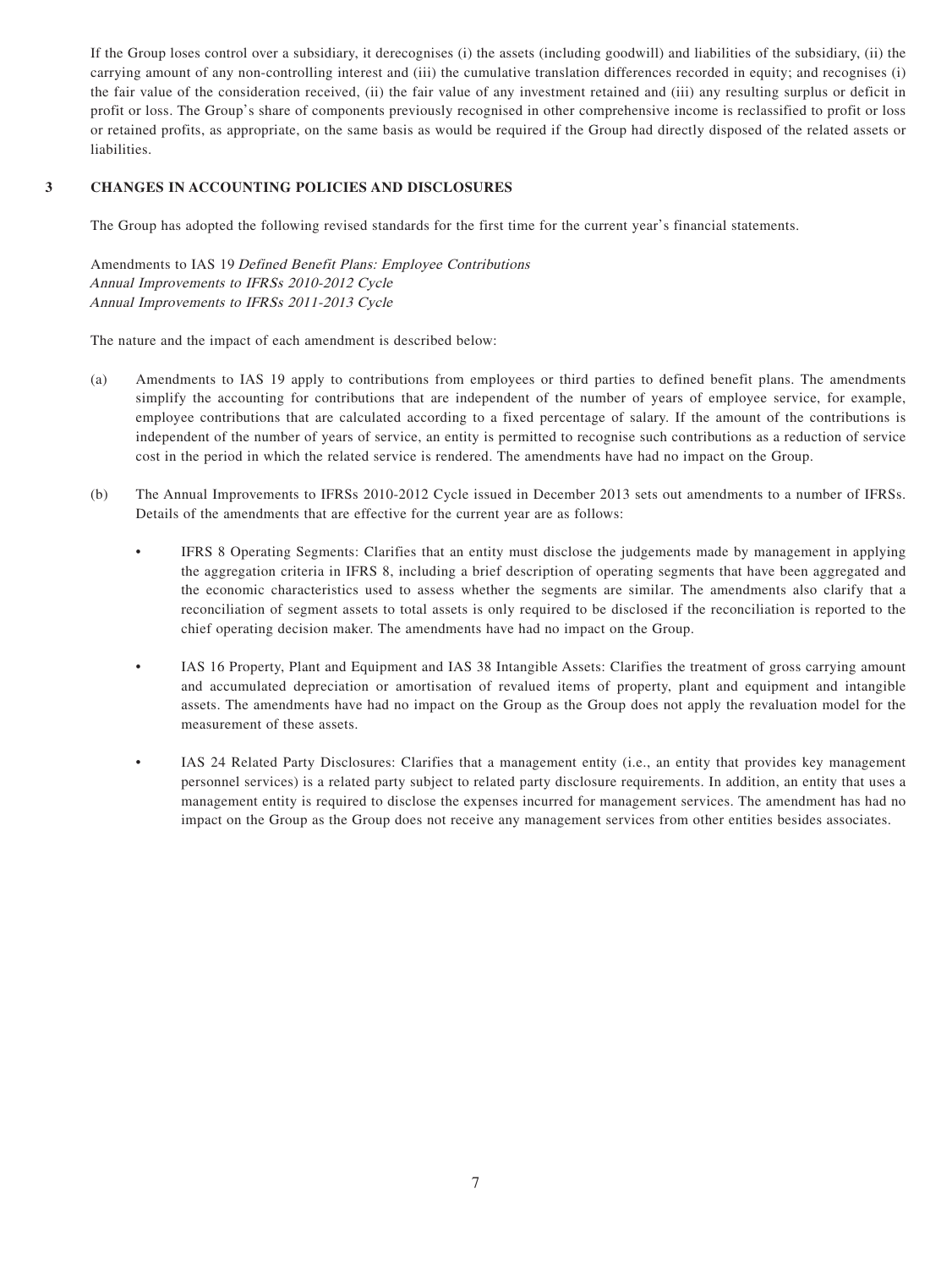If the Group loses control over a subsidiary, it derecognises (i) the assets (including goodwill) and liabilities of the subsidiary, (ii) the carrying amount of any non-controlling interest and (iii) the cumulative translation differences recorded in equity; and recognises (i) the fair value of the consideration received, (ii) the fair value of any investment retained and (iii) any resulting surplus or deficit in profit or loss. The Group's share of components previously recognised in other comprehensive income is reclassified to profit or loss or retained profits, as appropriate, on the same basis as would be required if the Group had directly disposed of the related assets or liabilities.

#### **3 CHANGES IN ACCOUNTING POLICIES AND DISCLOSURES**

The Group has adopted the following revised standards for the first time for the current year's financial statements.

Amendments to IAS 19 Defined Benefit Plans: Employee Contributions Annual Improvements to IFRSs 2010-2012 Cycle Annual Improvements to IFRSs 2011-2013 Cycle

The nature and the impact of each amendment is described below:

- (a) Amendments to IAS 19 apply to contributions from employees or third parties to defined benefit plans. The amendments simplify the accounting for contributions that are independent of the number of years of employee service, for example, employee contributions that are calculated according to a fixed percentage of salary. If the amount of the contributions is independent of the number of years of service, an entity is permitted to recognise such contributions as a reduction of service cost in the period in which the related service is rendered. The amendments have had no impact on the Group.
- (b) The Annual Improvements to IFRSs 2010-2012 Cycle issued in December 2013 sets out amendments to a number of IFRSs. Details of the amendments that are effective for the current year are as follows:
	- IFRS 8 Operating Segments: Clarifies that an entity must disclose the judgements made by management in applying the aggregation criteria in IFRS 8, including a brief description of operating segments that have been aggregated and the economic characteristics used to assess whether the segments are similar. The amendments also clarify that a reconciliation of segment assets to total assets is only required to be disclosed if the reconciliation is reported to the chief operating decision maker. The amendments have had no impact on the Group.
	- IAS 16 Property, Plant and Equipment and IAS 38 Intangible Assets: Clarifies the treatment of gross carrying amount and accumulated depreciation or amortisation of revalued items of property, plant and equipment and intangible assets. The amendments have had no impact on the Group as the Group does not apply the revaluation model for the measurement of these assets.
	- IAS 24 Related Party Disclosures: Clarifies that a management entity (i.e., an entity that provides key management personnel services) is a related party subject to related party disclosure requirements. In addition, an entity that uses a management entity is required to disclose the expenses incurred for management services. The amendment has had no impact on the Group as the Group does not receive any management services from other entities besides associates.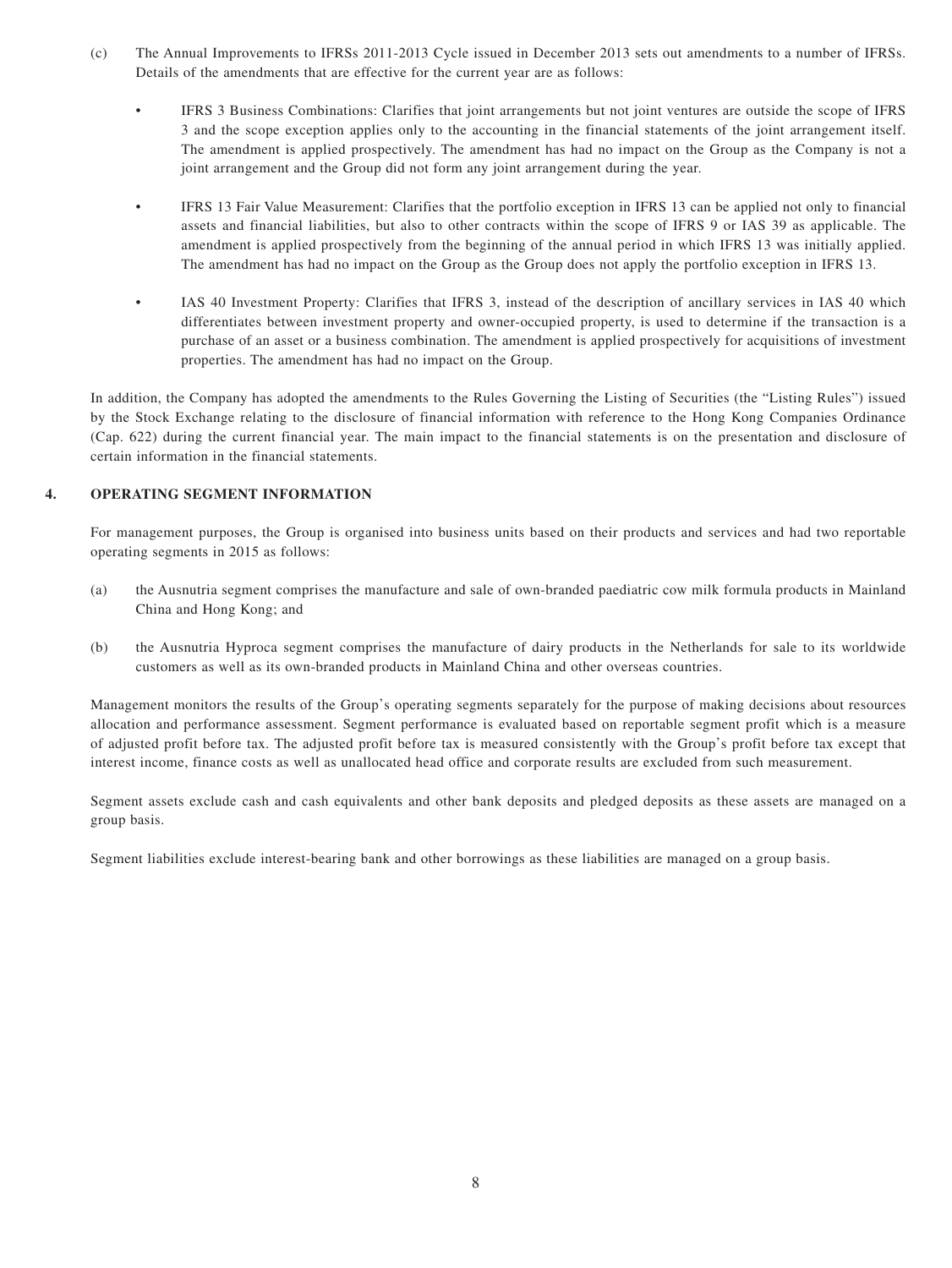- (c) The Annual Improvements to IFRSs 2011-2013 Cycle issued in December 2013 sets out amendments to a number of IFRSs. Details of the amendments that are effective for the current year are as follows:
	- IFRS 3 Business Combinations: Clarifies that joint arrangements but not joint ventures are outside the scope of IFRS 3 and the scope exception applies only to the accounting in the financial statements of the joint arrangement itself. The amendment is applied prospectively. The amendment has had no impact on the Group as the Company is not a joint arrangement and the Group did not form any joint arrangement during the year.
	- IFRS 13 Fair Value Measurement: Clarifies that the portfolio exception in IFRS 13 can be applied not only to financial assets and financial liabilities, but also to other contracts within the scope of IFRS 9 or IAS 39 as applicable. The amendment is applied prospectively from the beginning of the annual period in which IFRS 13 was initially applied. The amendment has had no impact on the Group as the Group does not apply the portfolio exception in IFRS 13.
	- IAS 40 Investment Property: Clarifies that IFRS 3, instead of the description of ancillary services in IAS 40 which differentiates between investment property and owner-occupied property, is used to determine if the transaction is a purchase of an asset or a business combination. The amendment is applied prospectively for acquisitions of investment properties. The amendment has had no impact on the Group.

In addition, the Company has adopted the amendments to the Rules Governing the Listing of Securities (the "Listing Rules") issued by the Stock Exchange relating to the disclosure of financial information with reference to the Hong Kong Companies Ordinance (Cap. 622) during the current financial year. The main impact to the financial statements is on the presentation and disclosure of certain information in the financial statements.

#### **4. OPERATING SEGMENT INFORMATION**

For management purposes, the Group is organised into business units based on their products and services and had two reportable operating segments in 2015 as follows:

- (a) the Ausnutria segment comprises the manufacture and sale of own-branded paediatric cow milk formula products in Mainland China and Hong Kong; and
- (b) the Ausnutria Hyproca segment comprises the manufacture of dairy products in the Netherlands for sale to its worldwide customers as well as its own-branded products in Mainland China and other overseas countries.

Management monitors the results of the Group's operating segments separately for the purpose of making decisions about resources allocation and performance assessment. Segment performance is evaluated based on reportable segment profit which is a measure of adjusted profit before tax. The adjusted profit before tax is measured consistently with the Group's profit before tax except that interest income, finance costs as well as unallocated head office and corporate results are excluded from such measurement.

Segment assets exclude cash and cash equivalents and other bank deposits and pledged deposits as these assets are managed on a group basis.

Segment liabilities exclude interest-bearing bank and other borrowings as these liabilities are managed on a group basis.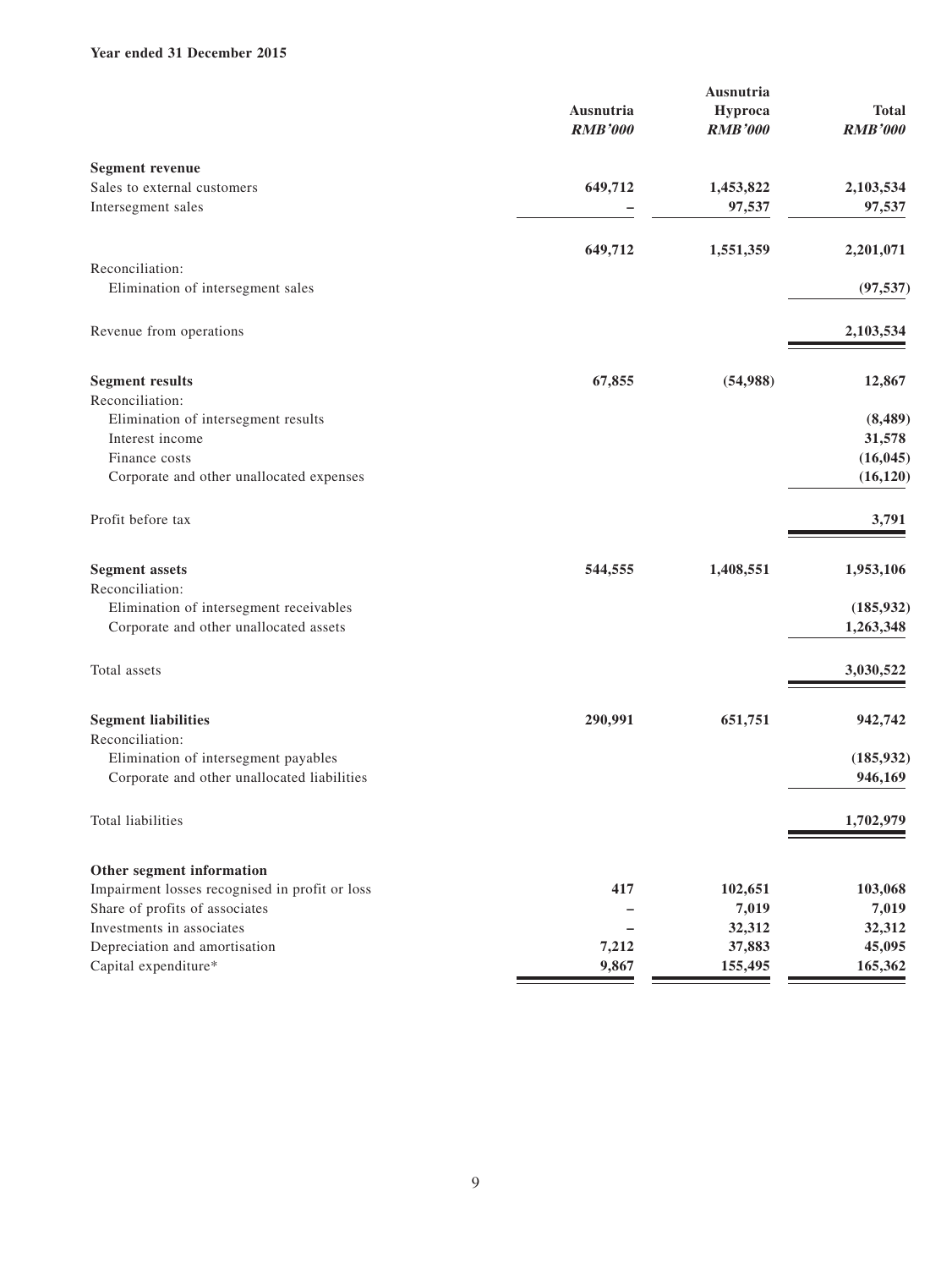#### **Year ended 31 December 2015**

|                                                |                | Ausnutria      |                |
|------------------------------------------------|----------------|----------------|----------------|
|                                                | Ausnutria      | Hyproca        | <b>Total</b>   |
|                                                | <b>RMB'000</b> | <b>RMB'000</b> | <b>RMB'000</b> |
| <b>Segment revenue</b>                         |                |                |                |
| Sales to external customers                    | 649,712        | 1,453,822      | 2,103,534      |
| Intersegment sales                             |                | 97,537         | 97,537         |
|                                                |                |                |                |
| Reconciliation:                                | 649,712        | 1,551,359      | 2,201,071      |
| Elimination of intersegment sales              |                |                | (97, 537)      |
|                                                |                |                |                |
| Revenue from operations                        |                |                | 2,103,534      |
| <b>Segment results</b>                         | 67,855         | (54,988)       | 12,867         |
| Reconciliation:                                |                |                |                |
| Elimination of intersegment results            |                |                | (8, 489)       |
| Interest income                                |                |                | 31,578         |
| Finance costs                                  |                |                | (16, 045)      |
| Corporate and other unallocated expenses       |                |                | (16, 120)      |
| Profit before tax                              |                |                | 3,791          |
| <b>Segment assets</b>                          | 544,555        | 1,408,551      | 1,953,106      |
| Reconciliation:                                |                |                |                |
| Elimination of intersegment receivables        |                |                | (185, 932)     |
| Corporate and other unallocated assets         |                |                | 1,263,348      |
| Total assets                                   |                |                | 3,030,522      |
| <b>Segment liabilities</b>                     | 290,991        | 651,751        | 942,742        |
| Reconciliation:                                |                |                |                |
| Elimination of intersegment payables           |                |                | (185, 932)     |
| Corporate and other unallocated liabilities    |                |                | 946,169        |
| Total liabilities                              |                |                | 1,702,979      |
| Other segment information                      |                |                |                |
| Impairment losses recognised in profit or loss | 417            | 102,651        | 103,068        |
| Share of profits of associates                 |                | 7,019          | 7,019          |
| Investments in associates                      |                | 32,312         | 32,312         |
| Depreciation and amortisation                  | 7,212          | 37,883         | 45,095         |
| Capital expenditure*                           | 9,867          | 155,495        | 165,362        |
|                                                |                |                |                |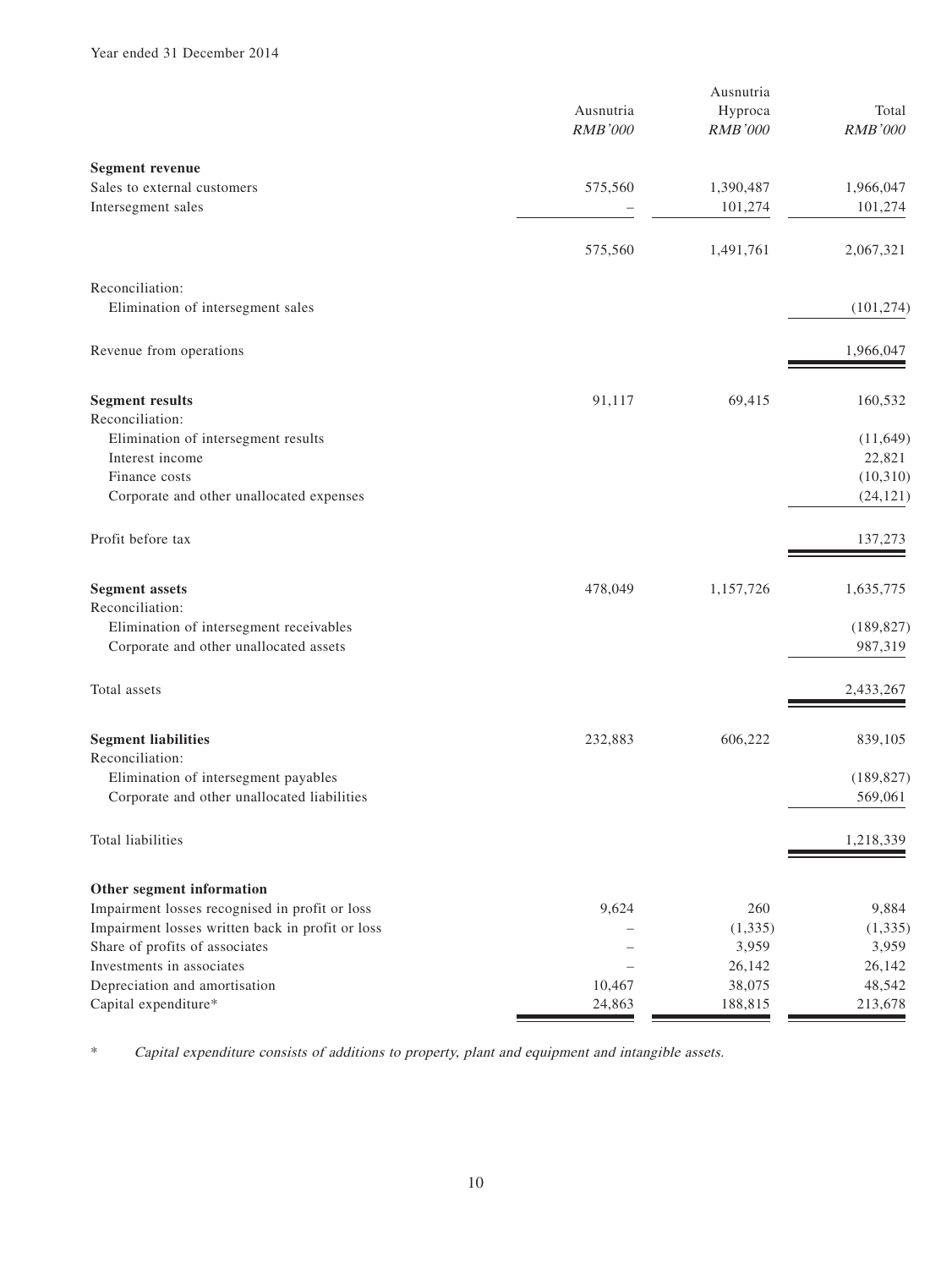|                                                  |                | Ausnutria      |                |
|--------------------------------------------------|----------------|----------------|----------------|
|                                                  | Ausnutria      | Hyproca        | Total          |
|                                                  | <b>RMB'000</b> | <b>RMB'000</b> | <b>RMB'000</b> |
| <b>Segment revenue</b>                           |                |                |                |
| Sales to external customers                      | 575,560        | 1,390,487      | 1,966,047      |
| Intersegment sales                               |                | 101,274        | 101,274        |
|                                                  |                |                |                |
|                                                  | 575,560        | 1,491,761      | 2,067,321      |
| Reconciliation:                                  |                |                |                |
| Elimination of intersegment sales                |                |                | (101, 274)     |
| Revenue from operations                          |                |                | 1,966,047      |
| <b>Segment results</b>                           | 91,117         | 69,415         | 160,532        |
| Reconciliation:                                  |                |                |                |
| Elimination of intersegment results              |                |                | (11, 649)      |
| Interest income                                  |                |                | 22,821         |
| Finance costs                                    |                |                | (10,310)       |
| Corporate and other unallocated expenses         |                |                | (24, 121)      |
| Profit before tax                                |                |                | 137,273        |
| <b>Segment</b> assets                            | 478,049        | 1,157,726      | 1,635,775      |
| Reconciliation:                                  |                |                |                |
| Elimination of intersegment receivables          |                |                | (189, 827)     |
| Corporate and other unallocated assets           |                |                | 987,319        |
| Total assets                                     |                |                | 2,433,267      |
| <b>Segment liabilities</b>                       | 232,883        | 606,222        | 839,105        |
| Reconciliation:                                  |                |                |                |
| Elimination of intersegment payables             |                |                | (189, 827)     |
| Corporate and other unallocated liabilities      |                |                | 569,061        |
| Total liabilities                                |                |                | 1,218,339      |
| Other segment information                        |                |                |                |
| Impairment losses recognised in profit or loss   | 9,624          | 260            | 9,884          |
| Impairment losses written back in profit or loss |                | (1, 335)       | (1, 335)       |
| Share of profits of associates                   |                | 3,959          | 3,959          |
| Investments in associates                        |                | 26,142         | 26,142         |
| Depreciation and amortisation                    | 10,467         | 38,075         | 48,542         |
| Capital expenditure*                             | 24,863         | 188,815        | 213,678        |

\* Capital expenditure consists of additions to property, plant and equipment and intangible assets.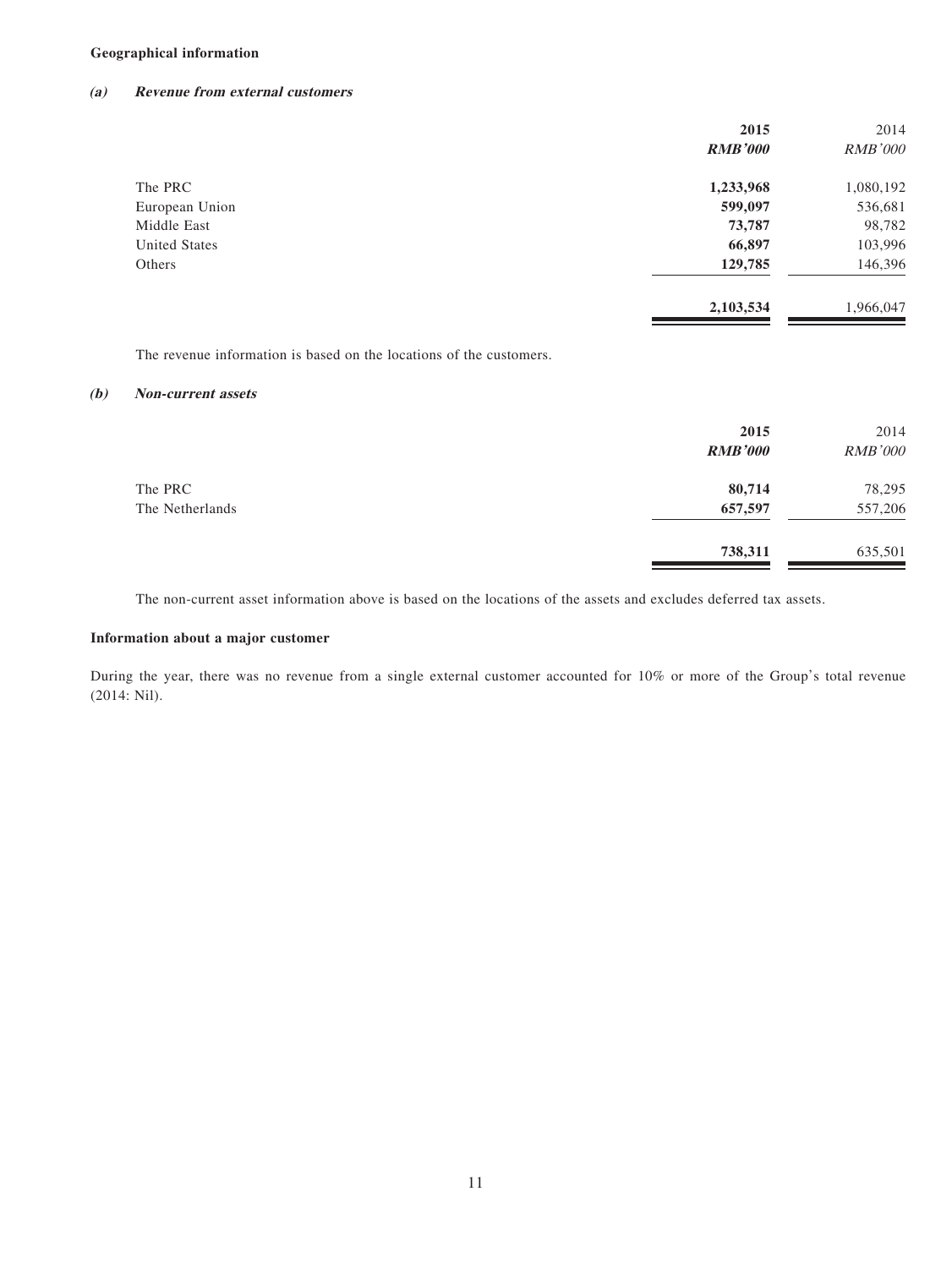#### **Geographical information**

#### **(a) Revenue from external customers**

|                | 2015           | 2014           |
|----------------|----------------|----------------|
|                | <b>RMB'000</b> | <b>RMB'000</b> |
| The PRC        | 1,233,968      | 1,080,192      |
| European Union | 599,097        | 536,681        |
| Middle East    | 73,787         | 98,782         |
| United States  | 66,897         | 103,996        |
| Others         | 129,785        | 146,396        |
|                | 2,103,534      | 1,966,047      |

The revenue information is based on the locations of the customers.

#### **(b) Non-current assets**

|                 | 2015<br><b>RMB'000</b> | 2014<br><b>RMB'000</b> |
|-----------------|------------------------|------------------------|
| The PRC         | 80,714                 | 78,295                 |
| The Netherlands | 657,597                | 557,206                |
|                 | 738,311                | 635,501                |

The non-current asset information above is based on the locations of the assets and excludes deferred tax assets.

#### **Information about a major customer**

During the year, there was no revenue from a single external customer accounted for 10% or more of the Group's total revenue (2014: Nil).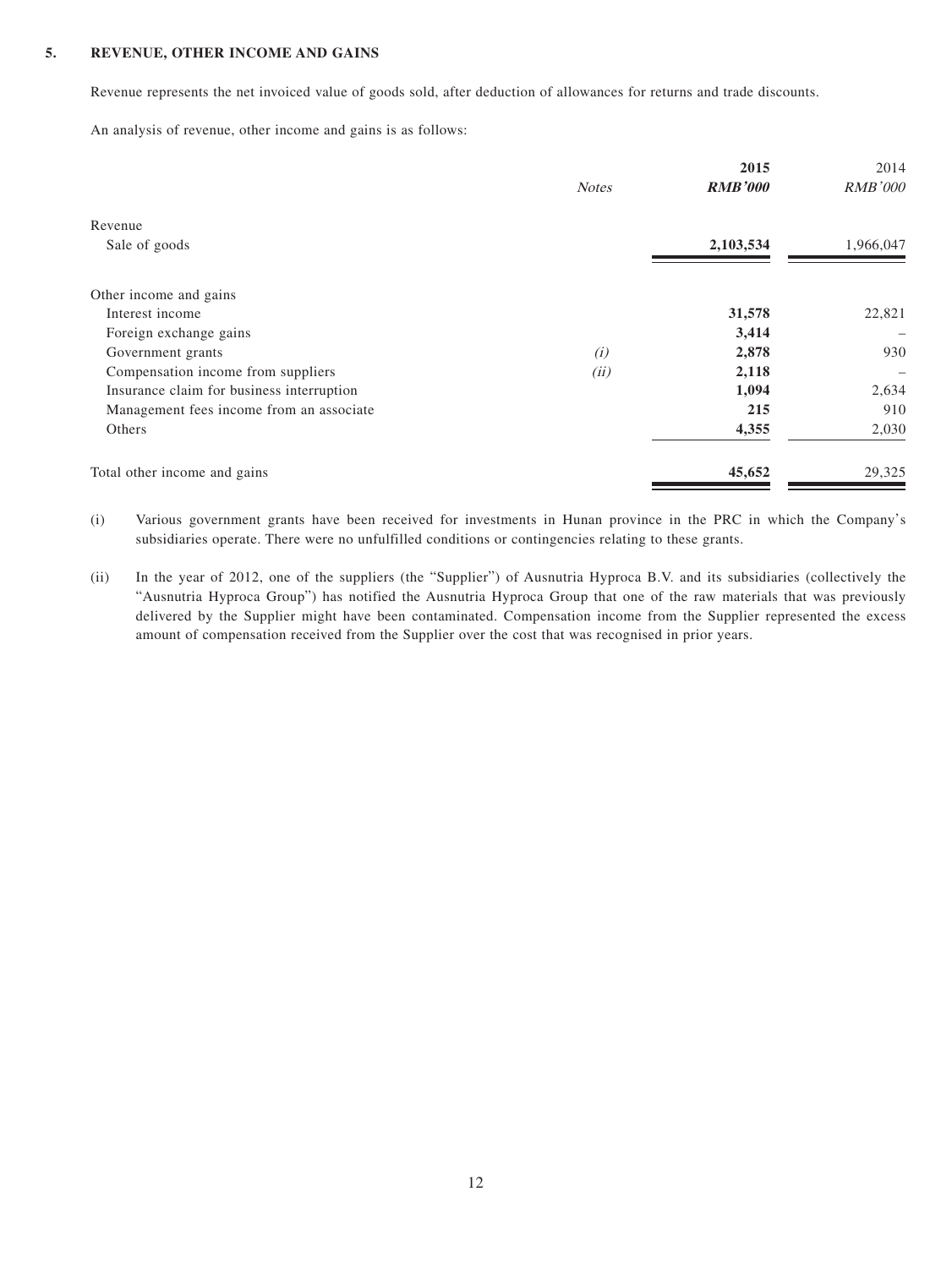#### **5. REVENUE, OTHER INCOME AND GAINS**

Revenue represents the net invoiced value of goods sold, after deduction of allowances for returns and trade discounts.

An analysis of revenue, other income and gains is as follows:

|                                           | <b>Notes</b> | 2015<br><b>RMB'000</b> | 2014<br><b>RMB'000</b> |
|-------------------------------------------|--------------|------------------------|------------------------|
| Revenue                                   |              |                        |                        |
| Sale of goods                             |              | 2,103,534              | 1,966,047              |
| Other income and gains                    |              |                        |                        |
| Interest income                           |              | 31,578                 | 22,821                 |
| Foreign exchange gains                    |              | 3,414                  |                        |
| Government grants                         | (i)          | 2,878                  | 930                    |
| Compensation income from suppliers        | (ii)         | 2,118                  |                        |
| Insurance claim for business interruption |              | 1,094                  | 2,634                  |
| Management fees income from an associate  |              | 215                    | 910                    |
| Others                                    |              | 4,355                  | 2,030                  |
| Total other income and gains              |              | 45,652                 | 29,325                 |

(i) Various government grants have been received for investments in Hunan province in the PRC in which the Company's subsidiaries operate. There were no unfulfilled conditions or contingencies relating to these grants.

(ii) In the year of 2012, one of the suppliers (the "Supplier") of Ausnutria Hyproca B.V. and its subsidiaries (collectively the "Ausnutria Hyproca Group") has notified the Ausnutria Hyproca Group that one of the raw materials that was previously delivered by the Supplier might have been contaminated. Compensation income from the Supplier represented the excess amount of compensation received from the Supplier over the cost that was recognised in prior years.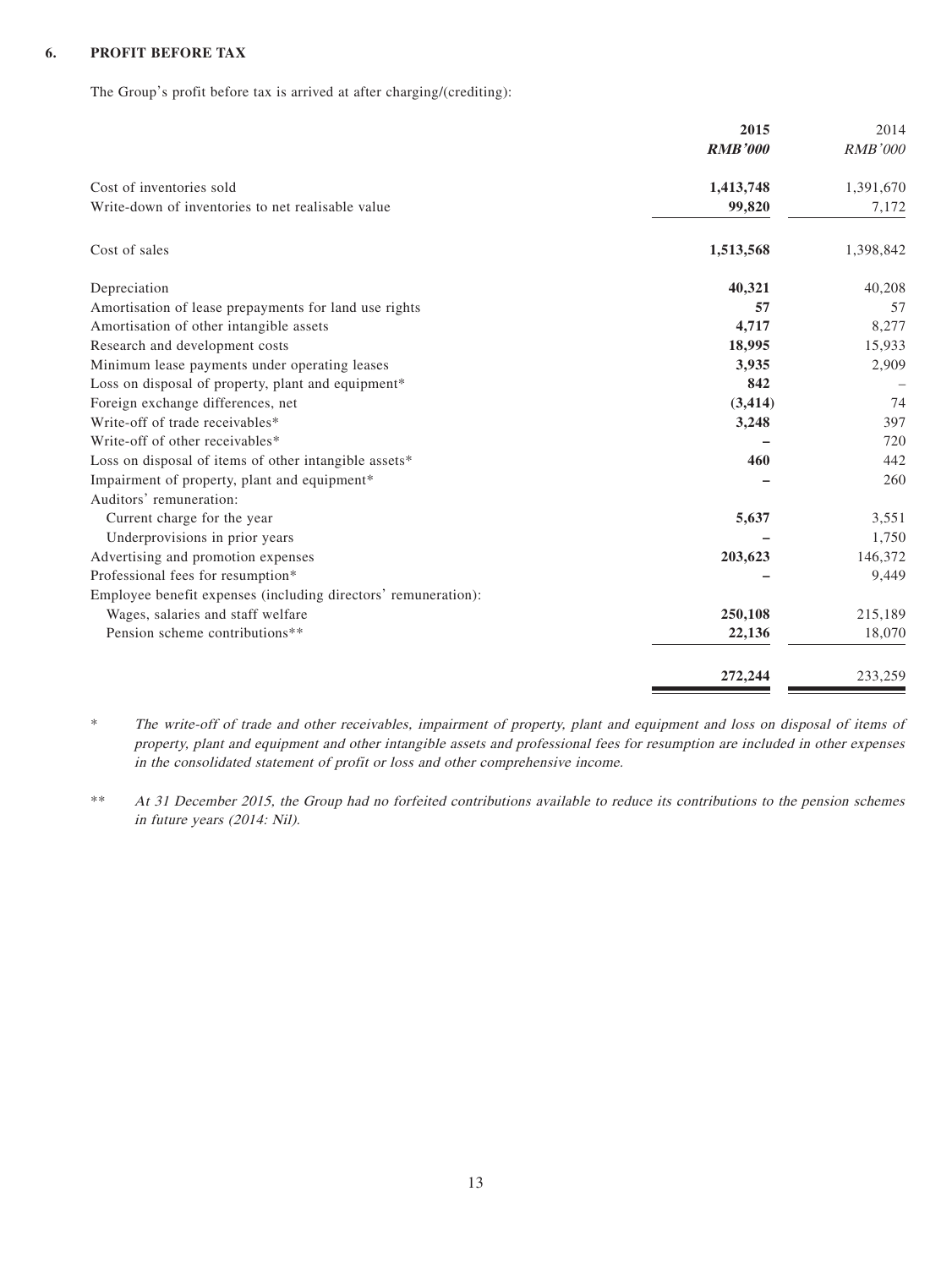#### **6. PROFIT BEFORE TAX**

The Group's profit before tax is arrived at after charging/(crediting):

| 2015                                                           | 2014           |
|----------------------------------------------------------------|----------------|
| <b>RMB'000</b>                                                 | <b>RMB'000</b> |
| Cost of inventories sold<br>1,413,748                          | 1,391,670      |
| Write-down of inventories to net realisable value<br>99,820    | 7,172          |
| Cost of sales<br>1,513,568                                     | 1,398,842      |
| 40,321<br>Depreciation                                         | 40,208         |
| Amortisation of lease prepayments for land use rights          | 57<br>57       |
| Amortisation of other intangible assets<br>4,717               | 8,277          |
| Research and development costs<br>18,995                       | 15,933         |
| 3,935<br>Minimum lease payments under operating leases         | 2,909          |
| Loss on disposal of property, plant and equipment*             | 842            |
| Foreign exchange differences, net<br>(3, 414)                  | 74             |
| Write-off of trade receivables*<br>3,248                       | 397            |
| Write-off of other receivables*                                | 720            |
| Loss on disposal of items of other intangible assets*          | 460<br>442     |
| Impairment of property, plant and equipment*                   | 260            |
| Auditors' remuneration:                                        |                |
| Current charge for the year<br>5,637                           | 3,551          |
| Underprovisions in prior years                                 | 1,750          |
| Advertising and promotion expenses<br>203,623                  | 146,372        |
| Professional fees for resumption*                              | 9,449          |
| Employee benefit expenses (including directors' remuneration): |                |
| Wages, salaries and staff welfare<br>250,108                   | 215,189        |
| Pension scheme contributions**<br>22,136                       | 18,070         |
| 272,244                                                        | 233,259        |

\* The write-off of trade and other receivables, impairment of property, plant and equipment and loss on disposal of items of property, plant and equipment and other intangible assets and professional fees for resumption are included in other expenses in the consolidated statement of profit or loss and other comprehensive income.

\*\* At 31 December 2015, the Group had no forfeited contributions available to reduce its contributions to the pension schemes in future years (2014: Nil).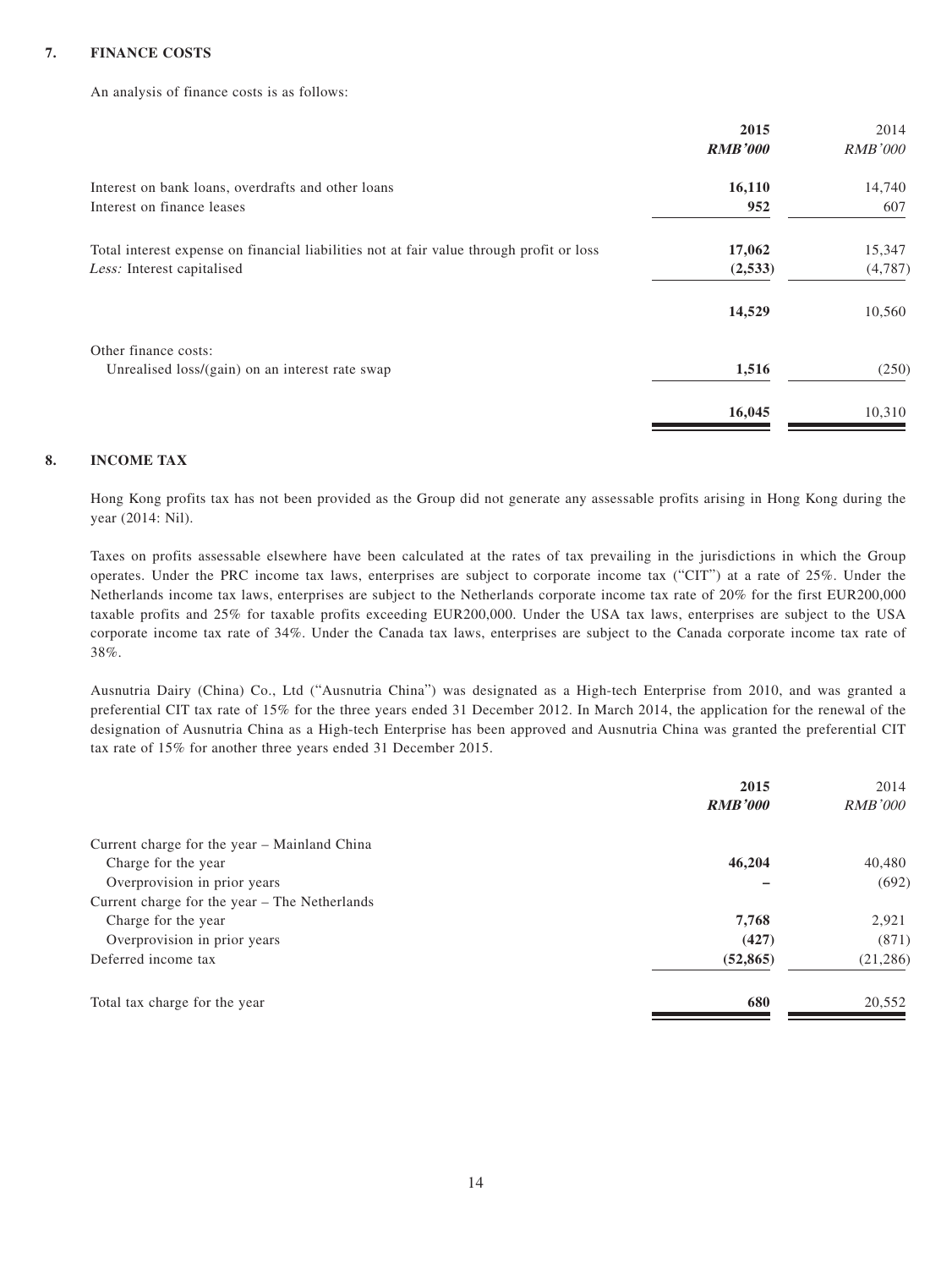#### **7. FINANCE COSTS**

An analysis of finance costs is as follows:

|                                                                                          | 2015           | 2014           |
|------------------------------------------------------------------------------------------|----------------|----------------|
|                                                                                          | <b>RMB'000</b> | <i>RMB'000</i> |
| Interest on bank loans, overdrafts and other loans                                       | 16,110         | 14,740         |
| Interest on finance leases                                                               | 952            | 607            |
| Total interest expense on financial liabilities not at fair value through profit or loss | 17,062         | 15,347         |
| Less: Interest capitalised                                                               | (2,533)        | (4,787)        |
|                                                                                          | 14,529         | 10,560         |
| Other finance costs:                                                                     |                |                |
| Unrealised loss/(gain) on an interest rate swap                                          | 1,516          | (250)          |
|                                                                                          | 16,045         | 10,310         |

#### **8. INCOME TAX**

Hong Kong profits tax has not been provided as the Group did not generate any assessable profits arising in Hong Kong during the year (2014: Nil).

Taxes on profits assessable elsewhere have been calculated at the rates of tax prevailing in the jurisdictions in which the Group operates. Under the PRC income tax laws, enterprises are subject to corporate income tax ("CIT") at a rate of 25%. Under the Netherlands income tax laws, enterprises are subject to the Netherlands corporate income tax rate of 20% for the first EUR200,000 taxable profits and 25% for taxable profits exceeding EUR200,000. Under the USA tax laws, enterprises are subject to the USA corporate income tax rate of 34%. Under the Canada tax laws, enterprises are subject to the Canada corporate income tax rate of 38%.

Ausnutria Dairy (China) Co., Ltd ("Ausnutria China") was designated as a High-tech Enterprise from 2010, and was granted a preferential CIT tax rate of 15% for the three years ended 31 December 2012. In March 2014, the application for the renewal of the designation of Ausnutria China as a High-tech Enterprise has been approved and Ausnutria China was granted the preferential CIT tax rate of 15% for another three years ended 31 December 2015.

|                                               | 2015           | 2014           |
|-----------------------------------------------|----------------|----------------|
|                                               | <b>RMB'000</b> | <i>RMB'000</i> |
| Current charge for the year - Mainland China  |                |                |
| Charge for the year                           | 46,204         | 40,480         |
| Overprovision in prior years                  |                | (692)          |
| Current charge for the year – The Netherlands |                |                |
| Charge for the year                           | 7,768          | 2,921          |
| Overprovision in prior years                  | (427)          | (871)          |
| Deferred income tax                           | (52, 865)      | (21, 286)      |
| Total tax charge for the year                 | 680            | 20,552         |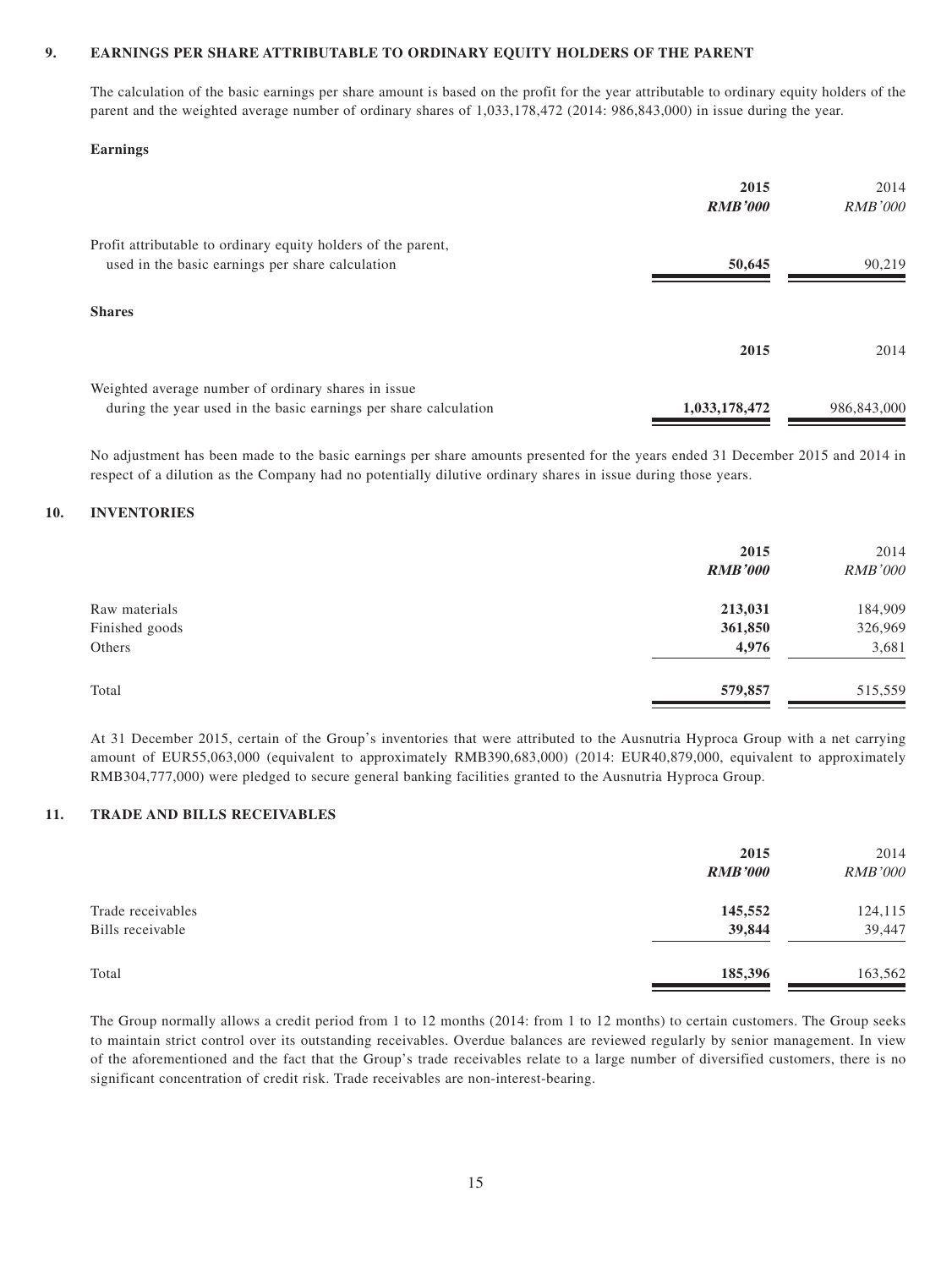#### **9. EARNINGS PER SHARE ATTRIBUTABLE TO ORDINARY EQUITY HOLDERS OF THE PARENT**

The calculation of the basic earnings per share amount is based on the profit for the year attributable to ordinary equity holders of the parent and the weighted average number of ordinary shares of 1,033,178,472 (2014: 986,843,000) in issue during the year.

#### **Earnings**

|                                                                  | 2015           | 2014           |
|------------------------------------------------------------------|----------------|----------------|
|                                                                  | <b>RMB'000</b> | <i>RMB'000</i> |
| Profit attributable to ordinary equity holders of the parent,    |                |                |
| used in the basic earnings per share calculation                 | 50,645         | 90,219         |
|                                                                  |                |                |
| <b>Shares</b>                                                    |                |                |
|                                                                  | 2015           | 2014           |
|                                                                  |                |                |
| Weighted average number of ordinary shares in issue              |                |                |
| during the year used in the basic earnings per share calculation | 1,033,178,472  | 986,843,000    |

No adjustment has been made to the basic earnings per share amounts presented for the years ended 31 December 2015 and 2014 in respect of a dilution as the Company had no potentially dilutive ordinary shares in issue during those years.

#### **10. INVENTORIES**

|                | 2015<br><b>RMB'000</b> | 2014<br><b>RMB'000</b> |
|----------------|------------------------|------------------------|
| Raw materials  | 213,031                | 184,909                |
| Finished goods | 361,850                | 326,969                |
| Others         | 4,976                  | 3,681                  |
| Total          | 579,857                | 515,559                |

At 31 December 2015, certain of the Group's inventories that were attributed to the Ausnutria Hyproca Group with a net carrying amount of EUR55,063,000 (equivalent to approximately RMB390,683,000) (2014: EUR40,879,000, equivalent to approximately RMB304,777,000) were pledged to secure general banking facilities granted to the Ausnutria Hyproca Group.

#### **11. TRADE AND BILLS RECEIVABLES**

|                                       | 2015<br><b>RMB'000</b> | 2014<br><b>RMB'000</b> |
|---------------------------------------|------------------------|------------------------|
| Trade receivables<br>Bills receivable | 145,552<br>39,844      | 124,115<br>39,447      |
| Total                                 | 185,396                | 163,562                |

The Group normally allows a credit period from 1 to 12 months (2014: from 1 to 12 months) to certain customers. The Group seeks to maintain strict control over its outstanding receivables. Overdue balances are reviewed regularly by senior management. In view of the aforementioned and the fact that the Group's trade receivables relate to a large number of diversified customers, there is no significant concentration of credit risk. Trade receivables are non-interest-bearing.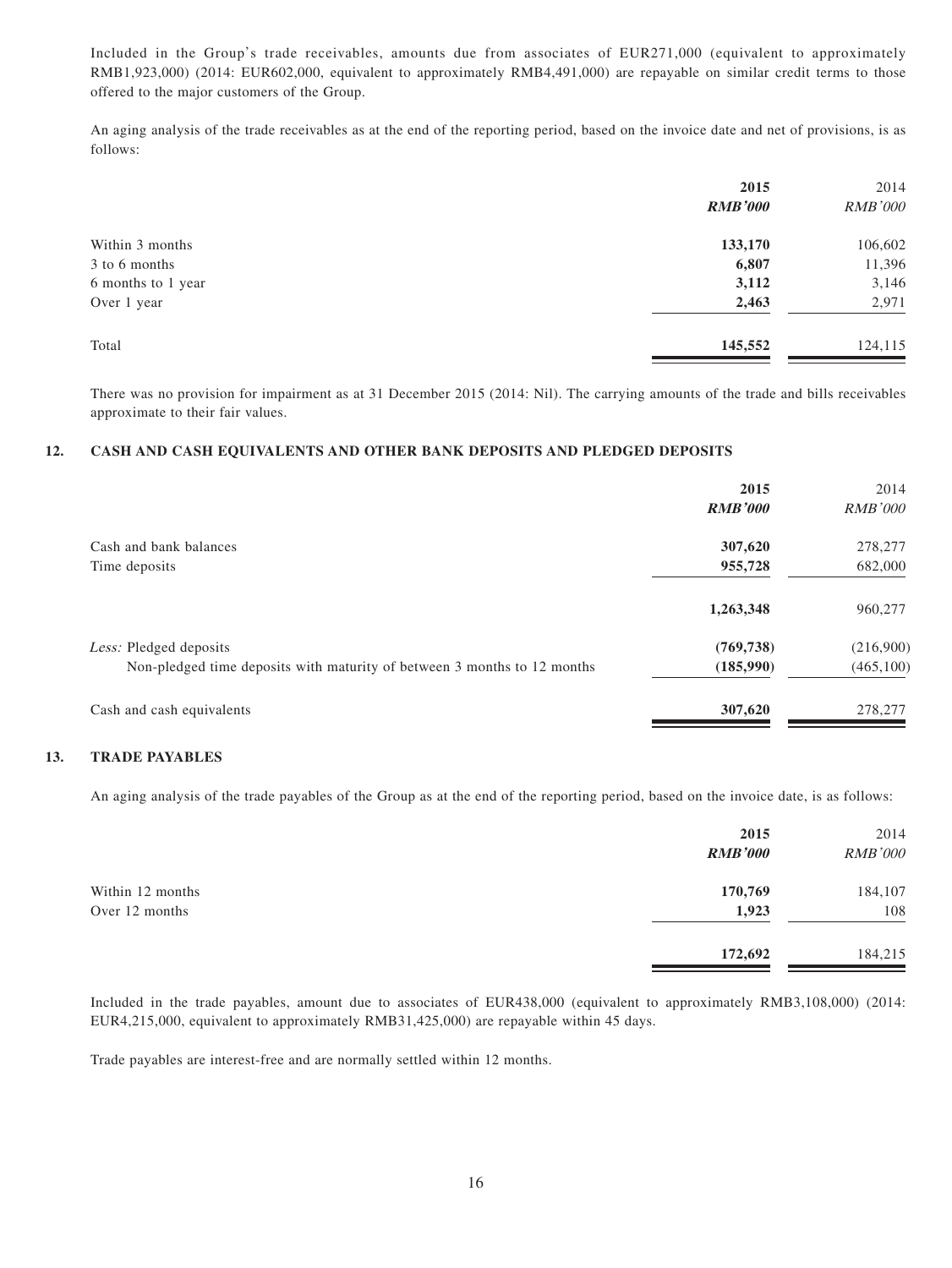Included in the Group's trade receivables, amounts due from associates of EUR271,000 (equivalent to approximately RMB1,923,000) (2014: EUR602,000, equivalent to approximately RMB4,491,000) are repayable on similar credit terms to those offered to the major customers of the Group.

An aging analysis of the trade receivables as at the end of the reporting period, based on the invoice date and net of provisions, is as follows:

| 2015           | 2014           |
|----------------|----------------|
| <b>RMB'000</b> | <b>RMB'000</b> |
| 133,170        | 106,602        |
| 6,807          | 11,396         |
| 3,112          | 3,146          |
| 2,463          | 2,971          |
| 145,552        | 124,115        |
|                |                |

There was no provision for impairment as at 31 December 2015 (2014: Nil). The carrying amounts of the trade and bills receivables approximate to their fair values.

#### **12. CASH AND CASH EQUIVALENTS AND OTHER BANK DEPOSITS AND PLEDGED DEPOSITS**

|                                                                                                    | 2015<br><b>RMB'000</b>  | 2014<br><i>RMB'000</i>  |
|----------------------------------------------------------------------------------------------------|-------------------------|-------------------------|
| Cash and bank balances<br>Time deposits                                                            | 307,620<br>955,728      | 278,277<br>682,000      |
|                                                                                                    | 1,263,348               | 960,277                 |
| Less: Pledged deposits<br>Non-pledged time deposits with maturity of between 3 months to 12 months | (769, 738)<br>(185,990) | (216,900)<br>(465, 100) |
| Cash and cash equivalents                                                                          | 307,620                 | 278,277                 |

#### **13. TRADE PAYABLES**

An aging analysis of the trade payables of the Group as at the end of the reporting period, based on the invoice date, is as follows:

|                  | 2015<br><b>RMB'000</b> | 2014<br><b>RMB'000</b> |
|------------------|------------------------|------------------------|
| Within 12 months | 170,769                | 184,107                |
| Over 12 months   | 1,923                  | 108                    |
|                  | 172,692                | 184,215                |

Included in the trade payables, amount due to associates of EUR438,000 (equivalent to approximately RMB3,108,000) (2014: EUR4,215,000, equivalent to approximately RMB31,425,000) are repayable within 45 days.

Trade payables are interest-free and are normally settled within 12 months.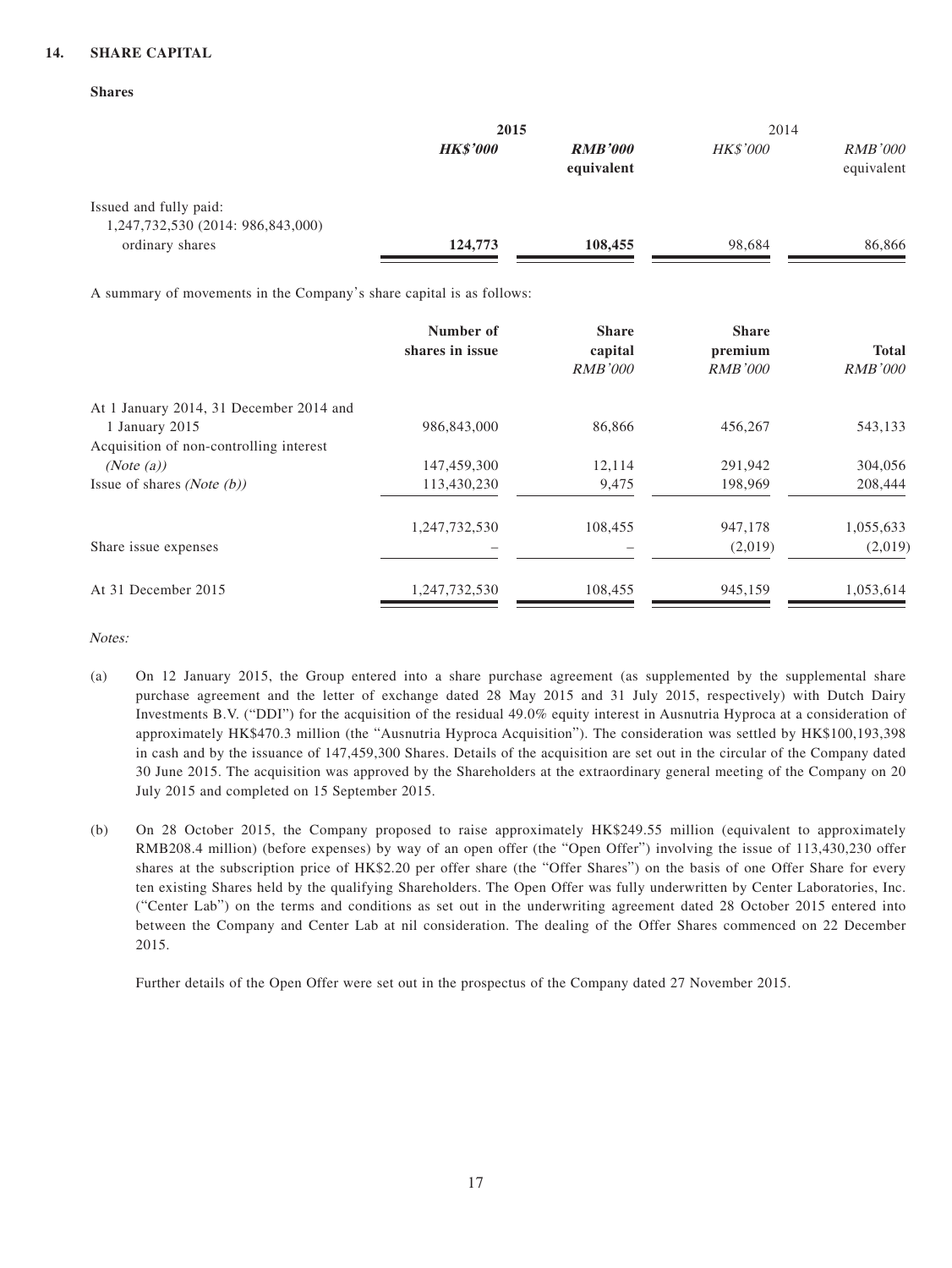#### **14. SHARE CAPITAL**

| .,<br>۳<br>٧<br>۰.<br>۰,<br>v<br>٠<br>× |
|-----------------------------------------|
|-----------------------------------------|

|                                                                      | 2015            |                              | 2014            |                              |
|----------------------------------------------------------------------|-----------------|------------------------------|-----------------|------------------------------|
|                                                                      | <b>HK\$'000</b> | <b>RMB'000</b><br>equivalent | <b>HK\$'000</b> | <i>RMB'000</i><br>equivalent |
| Issued and fully paid:                                               |                 |                              |                 |                              |
| 1,247,732,530 (2014: 986,843,000)                                    |                 |                              |                 |                              |
| ordinary shares                                                      | 124,773         | 108,455                      | 98,684          | 86,866                       |
| A summary of movements in the Company's share capital is as follows: |                 |                              |                 |                              |
|                                                                      | Number of       | <b>Share</b>                 | <b>Share</b>    |                              |
|                                                                      | shares in issue | capital                      | premium         | <b>Total</b>                 |
|                                                                      |                 | <i>RMB'000</i>               | <i>RMB'000</i>  | <i>RMB'000</i>               |
| At 1 January 2014, 31 December 2014 and                              |                 |                              |                 |                              |
|                                                                      |                 |                              |                 |                              |

| At 1 January 2014, 31 December 2014 and |               |         |         |           |
|-----------------------------------------|---------------|---------|---------|-----------|
| 1 January 2015                          | 986,843,000   | 86,866  | 456,267 | 543,133   |
| Acquisition of non-controlling interest |               |         |         |           |
| (Note (a))                              | 147,459,300   | 12,114  | 291,942 | 304,056   |
| Issue of shares <i>(Note (b))</i>       | 113,430,230   | 9,475   | 198,969 | 208,444   |
|                                         | 1,247,732,530 | 108,455 | 947,178 | 1,055,633 |
| Share issue expenses                    |               |         | (2,019) | (2,019)   |
| At 31 December 2015                     | 1,247,732,530 | 108,455 | 945,159 | 1,053,614 |
|                                         |               |         |         |           |

Notes:

- (a) On 12 January 2015, the Group entered into a share purchase agreement (as supplemented by the supplemental share purchase agreement and the letter of exchange dated 28 May 2015 and 31 July 2015, respectively) with Dutch Dairy Investments B.V. ("DDI") for the acquisition of the residual 49.0% equity interest in Ausnutria Hyproca at a consideration of approximately HK\$470.3 million (the "Ausnutria Hyproca Acquisition"). The consideration was settled by HK\$100,193,398 in cash and by the issuance of 147,459,300 Shares. Details of the acquisition are set out in the circular of the Company dated 30 June 2015. The acquisition was approved by the Shareholders at the extraordinary general meeting of the Company on 20 July 2015 and completed on 15 September 2015.
- (b) On 28 October 2015, the Company proposed to raise approximately HK\$249.55 million (equivalent to approximately RMB208.4 million) (before expenses) by way of an open offer (the "Open Offer") involving the issue of 113,430,230 offer shares at the subscription price of HK\$2.20 per offer share (the "Offer Shares") on the basis of one Offer Share for every ten existing Shares held by the qualifying Shareholders. The Open Offer was fully underwritten by Center Laboratories, Inc. ("Center Lab") on the terms and conditions as set out in the underwriting agreement dated 28 October 2015 entered into between the Company and Center Lab at nil consideration. The dealing of the Offer Shares commenced on 22 December 2015.

Further details of the Open Offer were set out in the prospectus of the Company dated 27 November 2015.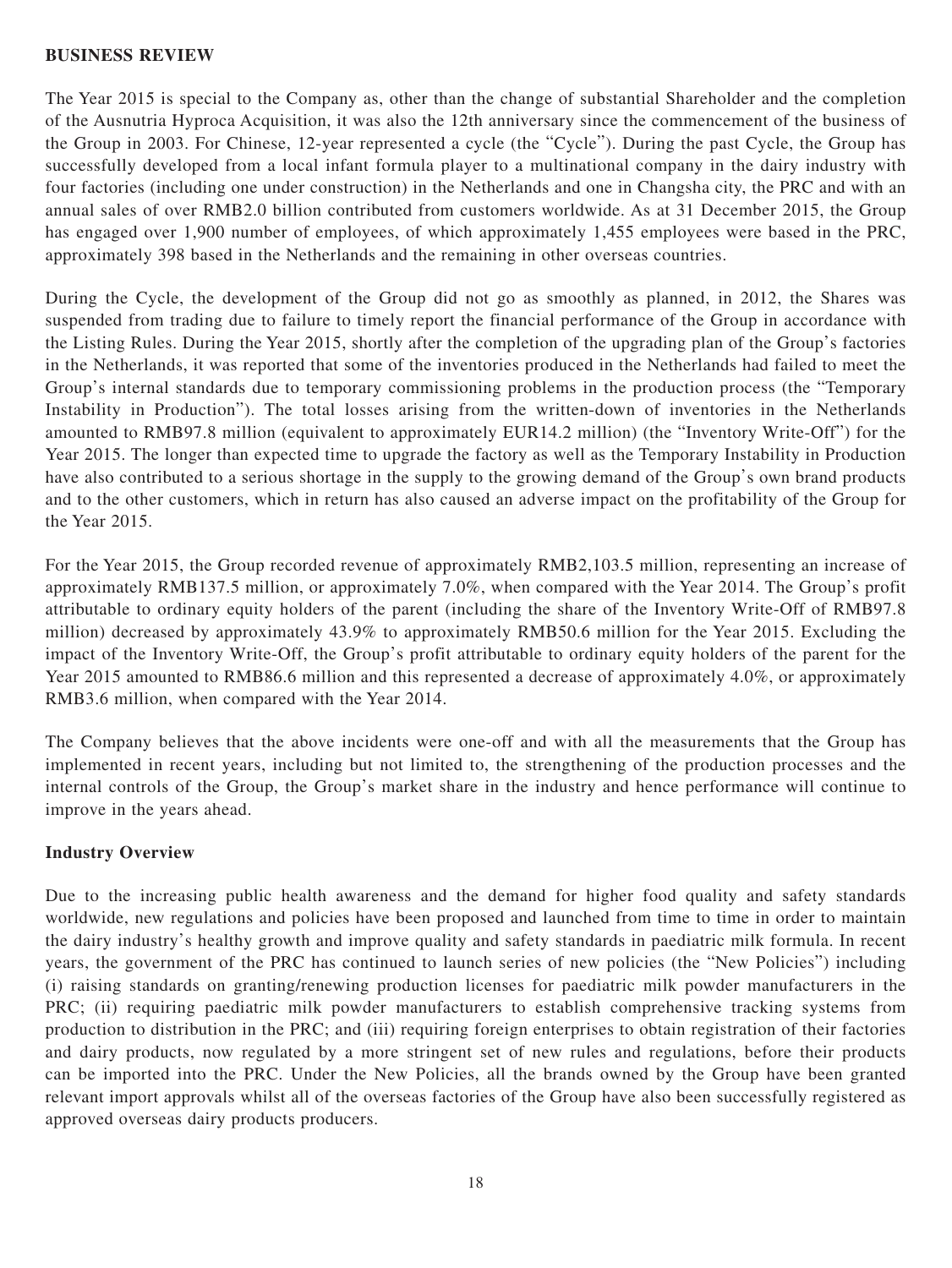#### **BUSINESS REVIEW**

The Year 2015 is special to the Company as, other than the change of substantial Shareholder and the completion of the Ausnutria Hyproca Acquisition, it was also the 12th anniversary since the commencement of the business of the Group in 2003. For Chinese, 12-year represented a cycle (the "Cycle"). During the past Cycle, the Group has successfully developed from a local infant formula player to a multinational company in the dairy industry with four factories (including one under construction) in the Netherlands and one in Changsha city, the PRC and with an annual sales of over RMB2.0 billion contributed from customers worldwide. As at 31 December 2015, the Group has engaged over 1,900 number of employees, of which approximately 1,455 employees were based in the PRC, approximately 398 based in the Netherlands and the remaining in other overseas countries.

During the Cycle, the development of the Group did not go as smoothly as planned, in 2012, the Shares was suspended from trading due to failure to timely report the financial performance of the Group in accordance with the Listing Rules. During the Year 2015, shortly after the completion of the upgrading plan of the Group's factories in the Netherlands, it was reported that some of the inventories produced in the Netherlands had failed to meet the Group's internal standards due to temporary commissioning problems in the production process (the "Temporary Instability in Production"). The total losses arising from the written-down of inventories in the Netherlands amounted to RMB97.8 million (equivalent to approximately EUR14.2 million) (the "Inventory Write-Off") for the Year 2015. The longer than expected time to upgrade the factory as well as the Temporary Instability in Production have also contributed to a serious shortage in the supply to the growing demand of the Group's own brand products and to the other customers, which in return has also caused an adverse impact on the profitability of the Group for the Year 2015.

For the Year 2015, the Group recorded revenue of approximately RMB2,103.5 million, representing an increase of approximately RMB137.5 million, or approximately 7.0%, when compared with the Year 2014. The Group's profit attributable to ordinary equity holders of the parent (including the share of the Inventory Write-Off of RMB97.8 million) decreased by approximately 43.9% to approximately RMB50.6 million for the Year 2015. Excluding the impact of the Inventory Write-Off, the Group's profit attributable to ordinary equity holders of the parent for the Year 2015 amounted to RMB86.6 million and this represented a decrease of approximately 4.0%, or approximately RMB3.6 million, when compared with the Year 2014.

The Company believes that the above incidents were one-off and with all the measurements that the Group has implemented in recent years, including but not limited to, the strengthening of the production processes and the internal controls of the Group, the Group's market share in the industry and hence performance will continue to improve in the years ahead.

#### **Industry Overview**

Due to the increasing public health awareness and the demand for higher food quality and safety standards worldwide, new regulations and policies have been proposed and launched from time to time in order to maintain the dairy industry's healthy growth and improve quality and safety standards in paediatric milk formula. In recent years, the government of the PRC has continued to launch series of new policies (the "New Policies") including (i) raising standards on granting/renewing production licenses for paediatric milk powder manufacturers in the PRC; (ii) requiring paediatric milk powder manufacturers to establish comprehensive tracking systems from production to distribution in the PRC; and (iii) requiring foreign enterprises to obtain registration of their factories and dairy products, now regulated by a more stringent set of new rules and regulations, before their products can be imported into the PRC. Under the New Policies, all the brands owned by the Group have been granted relevant import approvals whilst all of the overseas factories of the Group have also been successfully registered as approved overseas dairy products producers.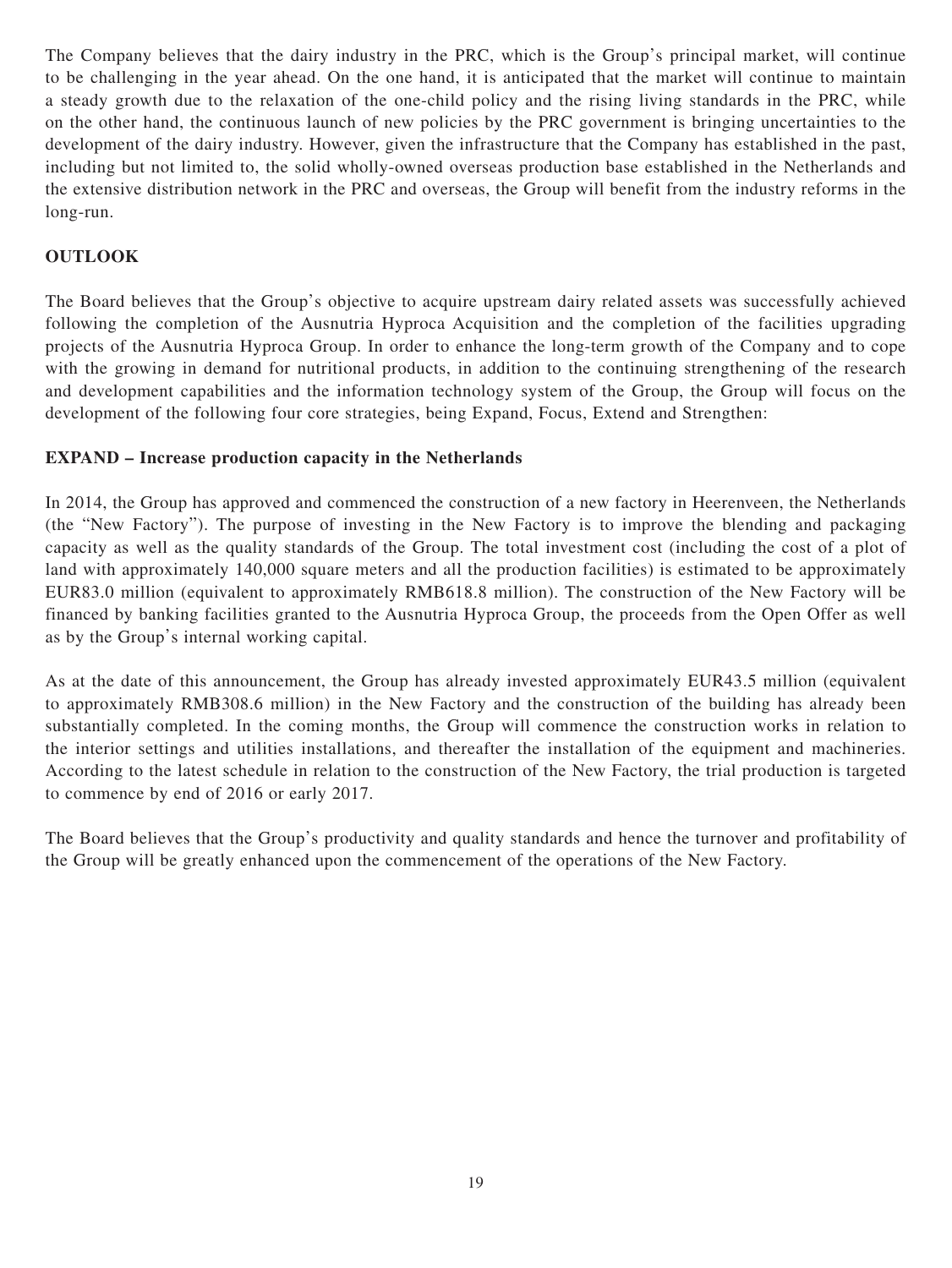The Company believes that the dairy industry in the PRC, which is the Group's principal market, will continue to be challenging in the year ahead. On the one hand, it is anticipated that the market will continue to maintain a steady growth due to the relaxation of the one-child policy and the rising living standards in the PRC, while on the other hand, the continuous launch of new policies by the PRC government is bringing uncertainties to the development of the dairy industry. However, given the infrastructure that the Company has established in the past, including but not limited to, the solid wholly-owned overseas production base established in the Netherlands and the extensive distribution network in the PRC and overseas, the Group will benefit from the industry reforms in the long-run.

## **OUTLOOK**

The Board believes that the Group's objective to acquire upstream dairy related assets was successfully achieved following the completion of the Ausnutria Hyproca Acquisition and the completion of the facilities upgrading projects of the Ausnutria Hyproca Group. In order to enhance the long-term growth of the Company and to cope with the growing in demand for nutritional products, in addition to the continuing strengthening of the research and development capabilities and the information technology system of the Group, the Group will focus on the development of the following four core strategies, being Expand, Focus, Extend and Strengthen:

## **EXPAND – Increase production capacity in the Netherlands**

In 2014, the Group has approved and commenced the construction of a new factory in Heerenveen, the Netherlands (the "New Factory"). The purpose of investing in the New Factory is to improve the blending and packaging capacity as well as the quality standards of the Group. The total investment cost (including the cost of a plot of land with approximately 140,000 square meters and all the production facilities) is estimated to be approximately EUR83.0 million (equivalent to approximately RMB618.8 million). The construction of the New Factory will be financed by banking facilities granted to the Ausnutria Hyproca Group, the proceeds from the Open Offer as well as by the Group's internal working capital.

As at the date of this announcement, the Group has already invested approximately EUR43.5 million (equivalent to approximately RMB308.6 million) in the New Factory and the construction of the building has already been substantially completed. In the coming months, the Group will commence the construction works in relation to the interior settings and utilities installations, and thereafter the installation of the equipment and machineries. According to the latest schedule in relation to the construction of the New Factory, the trial production is targeted to commence by end of 2016 or early 2017.

The Board believes that the Group's productivity and quality standards and hence the turnover and profitability of the Group will be greatly enhanced upon the commencement of the operations of the New Factory.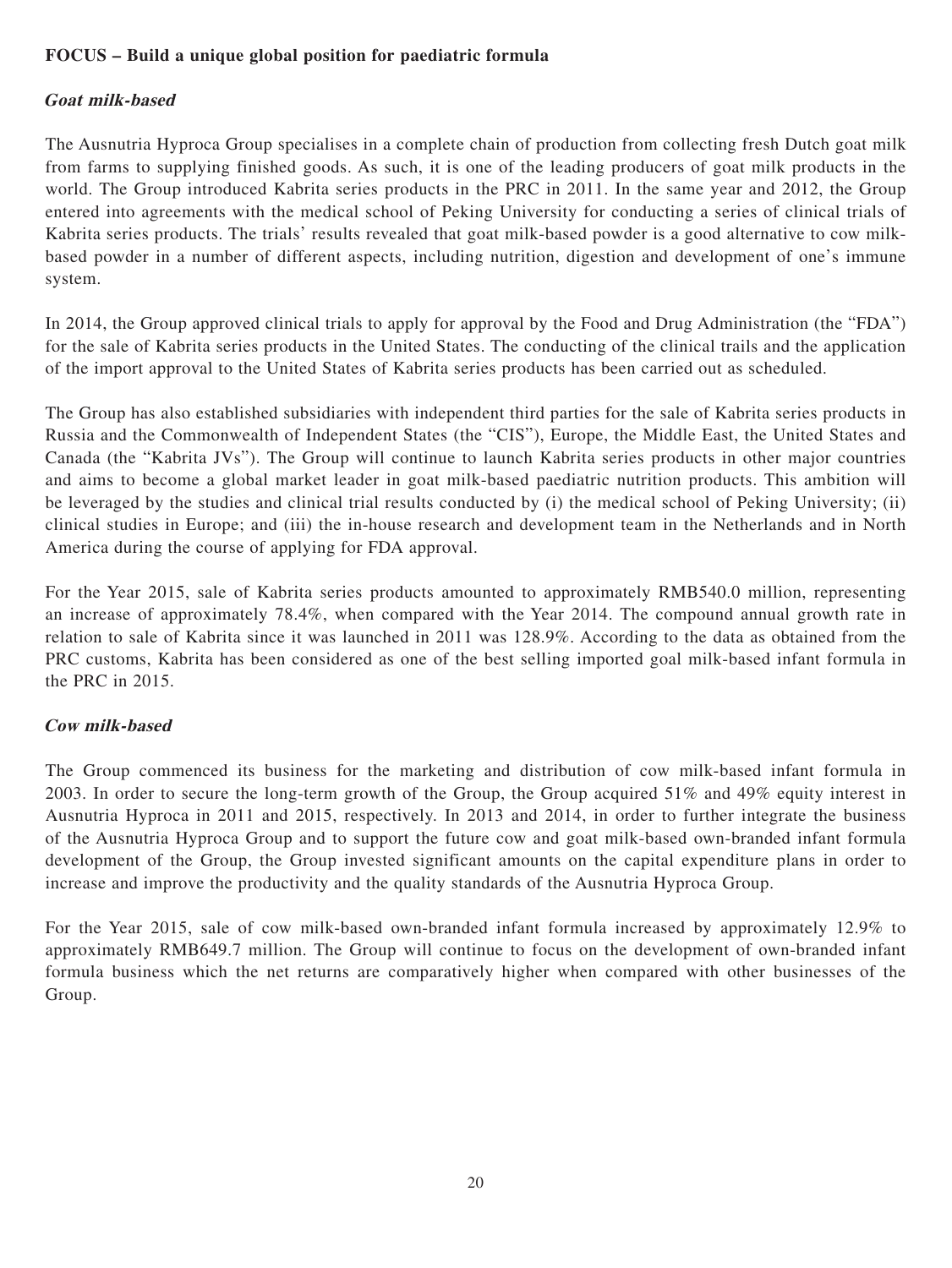## **FOCUS – Build a unique global position for paediatric formula**

### **Goat milk-based**

The Ausnutria Hyproca Group specialises in a complete chain of production from collecting fresh Dutch goat milk from farms to supplying finished goods. As such, it is one of the leading producers of goat milk products in the world. The Group introduced Kabrita series products in the PRC in 2011. In the same year and 2012, the Group entered into agreements with the medical school of Peking University for conducting a series of clinical trials of Kabrita series products. The trials' results revealed that goat milk-based powder is a good alternative to cow milkbased powder in a number of different aspects, including nutrition, digestion and development of one's immune system.

In 2014, the Group approved clinical trials to apply for approval by the Food and Drug Administration (the "FDA") for the sale of Kabrita series products in the United States. The conducting of the clinical trails and the application of the import approval to the United States of Kabrita series products has been carried out as scheduled.

The Group has also established subsidiaries with independent third parties for the sale of Kabrita series products in Russia and the Commonwealth of Independent States (the "CIS"), Europe, the Middle East, the United States and Canada (the "Kabrita JVs"). The Group will continue to launch Kabrita series products in other major countries and aims to become a global market leader in goat milk-based paediatric nutrition products. This ambition will be leveraged by the studies and clinical trial results conducted by (i) the medical school of Peking University; (ii) clinical studies in Europe; and (iii) the in-house research and development team in the Netherlands and in North America during the course of applying for FDA approval.

For the Year 2015, sale of Kabrita series products amounted to approximately RMB540.0 million, representing an increase of approximately 78.4%, when compared with the Year 2014. The compound annual growth rate in relation to sale of Kabrita since it was launched in 2011 was 128.9%. According to the data as obtained from the PRC customs, Kabrita has been considered as one of the best selling imported goal milk-based infant formula in the PRC in 2015.

## **Cow milk-based**

The Group commenced its business for the marketing and distribution of cow milk-based infant formula in 2003. In order to secure the long-term growth of the Group, the Group acquired 51% and 49% equity interest in Ausnutria Hyproca in 2011 and 2015, respectively. In 2013 and 2014, in order to further integrate the business of the Ausnutria Hyproca Group and to support the future cow and goat milk-based own-branded infant formula development of the Group, the Group invested significant amounts on the capital expenditure plans in order to increase and improve the productivity and the quality standards of the Ausnutria Hyproca Group.

For the Year 2015, sale of cow milk-based own-branded infant formula increased by approximately 12.9% to approximately RMB649.7 million. The Group will continue to focus on the development of own-branded infant formula business which the net returns are comparatively higher when compared with other businesses of the Group.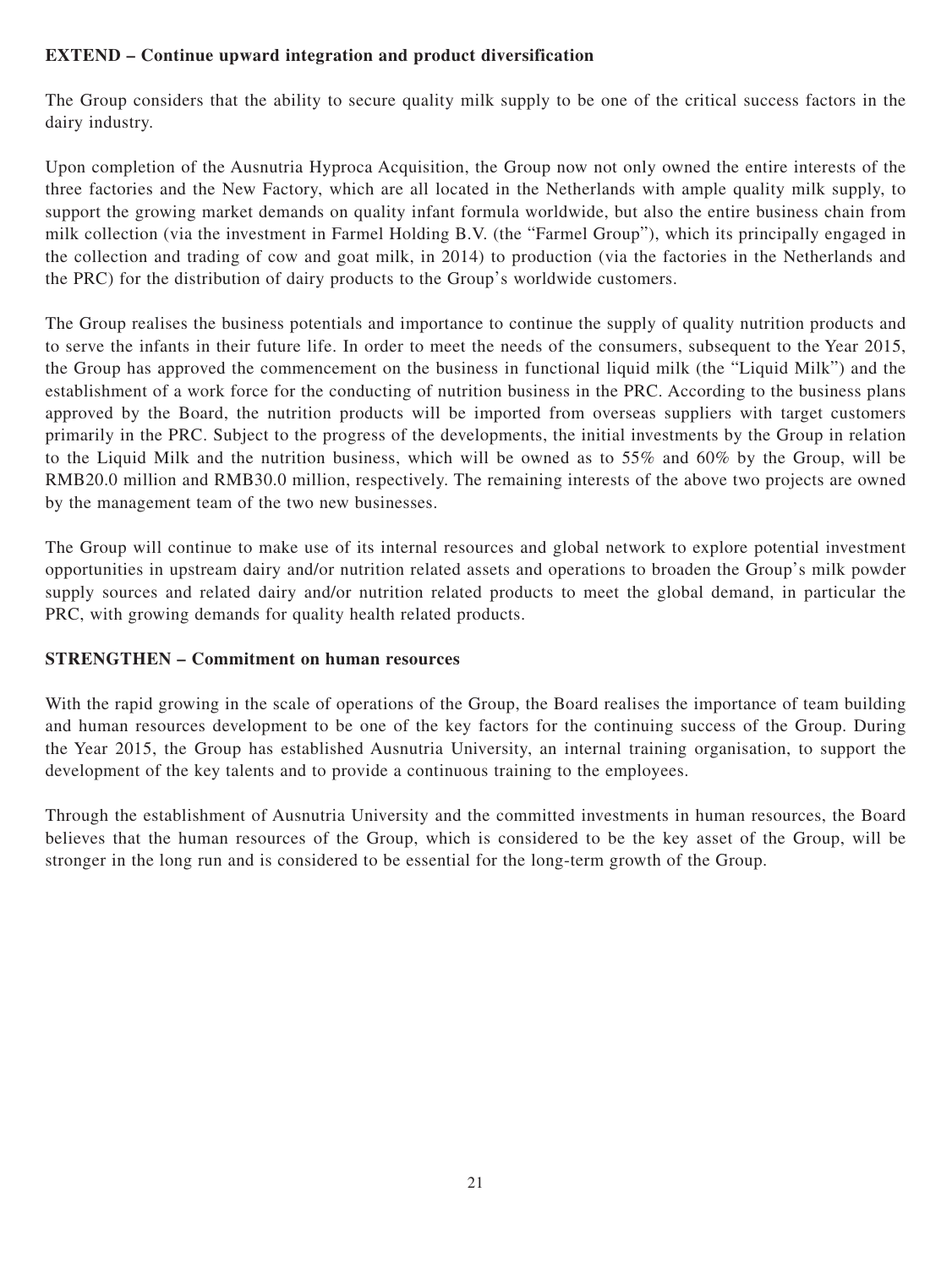## **EXTEND – Continue upward integration and product diversification**

The Group considers that the ability to secure quality milk supply to be one of the critical success factors in the dairy industry.

Upon completion of the Ausnutria Hyproca Acquisition, the Group now not only owned the entire interests of the three factories and the New Factory, which are all located in the Netherlands with ample quality milk supply, to support the growing market demands on quality infant formula worldwide, but also the entire business chain from milk collection (via the investment in Farmel Holding B.V. (the "Farmel Group"), which its principally engaged in the collection and trading of cow and goat milk, in 2014) to production (via the factories in the Netherlands and the PRC) for the distribution of dairy products to the Group's worldwide customers.

The Group realises the business potentials and importance to continue the supply of quality nutrition products and to serve the infants in their future life. In order to meet the needs of the consumers, subsequent to the Year 2015, the Group has approved the commencement on the business in functional liquid milk (the "Liquid Milk") and the establishment of a work force for the conducting of nutrition business in the PRC. According to the business plans approved by the Board, the nutrition products will be imported from overseas suppliers with target customers primarily in the PRC. Subject to the progress of the developments, the initial investments by the Group in relation to the Liquid Milk and the nutrition business, which will be owned as to 55% and 60% by the Group, will be RMB20.0 million and RMB30.0 million, respectively. The remaining interests of the above two projects are owned by the management team of the two new businesses.

The Group will continue to make use of its internal resources and global network to explore potential investment opportunities in upstream dairy and/or nutrition related assets and operations to broaden the Group's milk powder supply sources and related dairy and/or nutrition related products to meet the global demand, in particular the PRC, with growing demands for quality health related products.

## **STRENGTHEN – Commitment on human resources**

With the rapid growing in the scale of operations of the Group, the Board realises the importance of team building and human resources development to be one of the key factors for the continuing success of the Group. During the Year 2015, the Group has established Ausnutria University, an internal training organisation, to support the development of the key talents and to provide a continuous training to the employees.

Through the establishment of Ausnutria University and the committed investments in human resources, the Board believes that the human resources of the Group, which is considered to be the key asset of the Group, will be stronger in the long run and is considered to be essential for the long-term growth of the Group.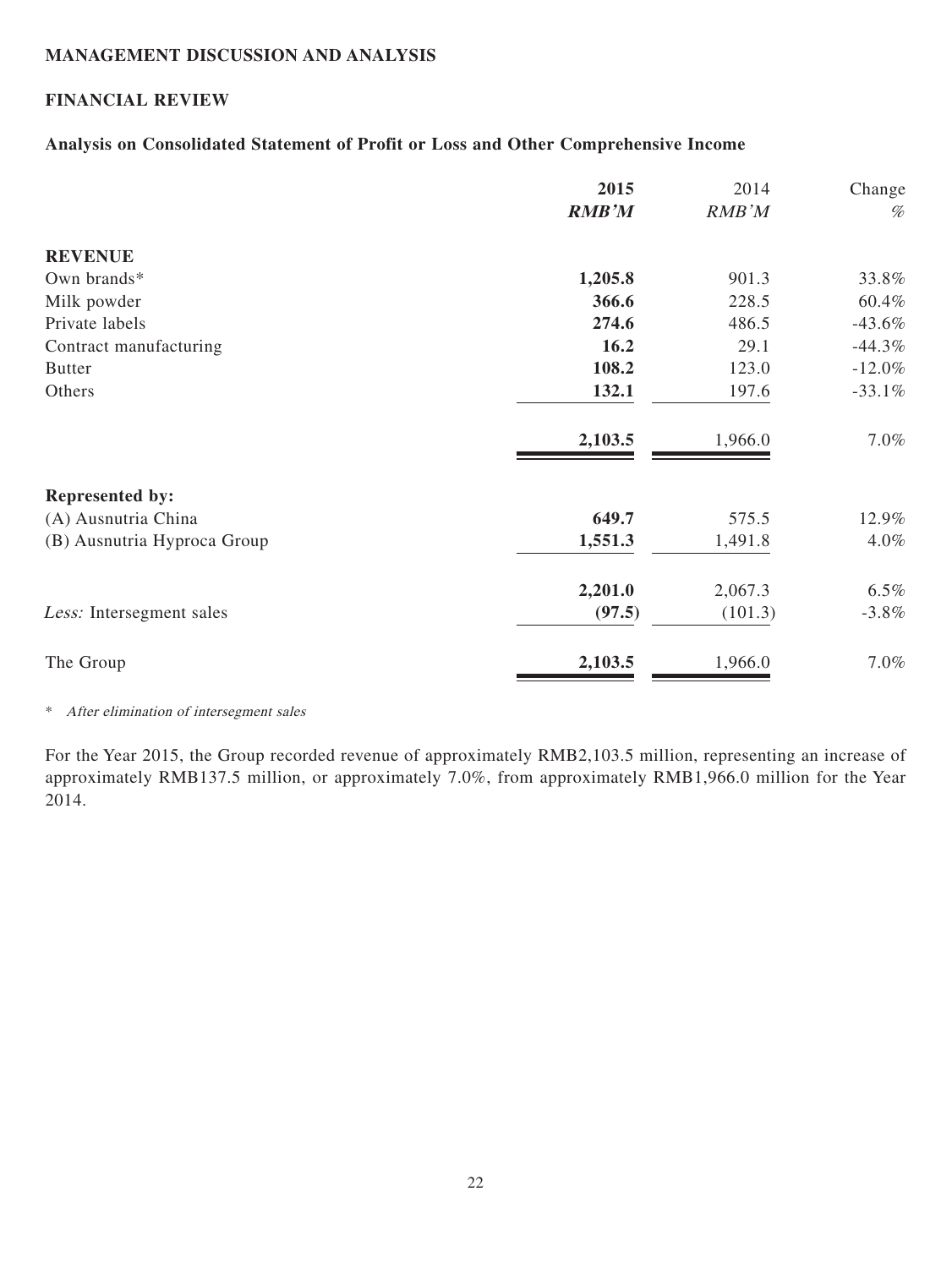## **MANAGEMENT DISCUSSION AND ANALYSIS**

## **FINANCIAL REVIEW**

#### **Analysis on Consolidated Statement of Profit or Loss and Other Comprehensive Income**

|                             | 2015         | 2014    | Change    |
|-----------------------------|--------------|---------|-----------|
|                             | <b>RMB'M</b> | RMB'M   | $\%$      |
| <b>REVENUE</b>              |              |         |           |
| Own brands*                 | 1,205.8      | 901.3   | 33.8%     |
| Milk powder                 | 366.6        | 228.5   | 60.4%     |
| Private labels              | 274.6        | 486.5   | $-43.6%$  |
| Contract manufacturing      | 16.2         | 29.1    | $-44.3\%$ |
| <b>Butter</b>               | 108.2        | 123.0   | $-12.0%$  |
| Others                      | 132.1        | 197.6   | $-33.1%$  |
|                             | 2,103.5      | 1,966.0 | 7.0%      |
| <b>Represented by:</b>      |              |         |           |
| (A) Ausnutria China         | 649.7        | 575.5   | 12.9%     |
| (B) Ausnutria Hyproca Group | 1,551.3      | 1,491.8 | 4.0%      |
|                             | 2,201.0      | 2,067.3 | 6.5%      |
| Less: Intersegment sales    | (97.5)       | (101.3) | $-3.8\%$  |
| The Group                   | 2,103.5      | 1,966.0 | 7.0%      |

\* After elimination of intersegment sales

For the Year 2015, the Group recorded revenue of approximately RMB2,103.5 million, representing an increase of approximately RMB137.5 million, or approximately 7.0%, from approximately RMB1,966.0 million for the Year 2014.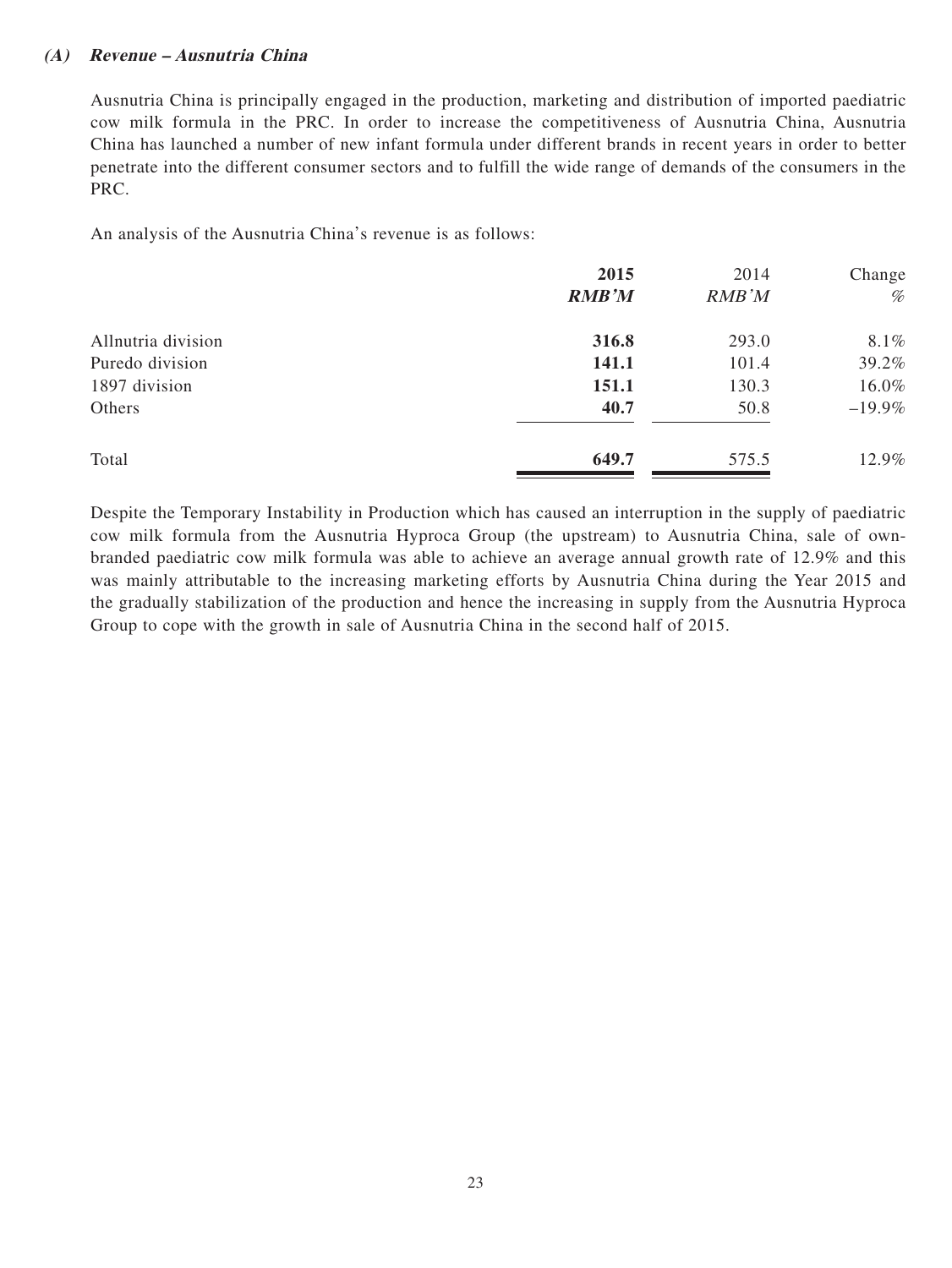#### **(A) Revenue – Ausnutria China**

Ausnutria China is principally engaged in the production, marketing and distribution of imported paediatric cow milk formula in the PRC. In order to increase the competitiveness of Ausnutria China, Ausnutria China has launched a number of new infant formula under different brands in recent years in order to better penetrate into the different consumer sectors and to fulfill the wide range of demands of the consumers in the PRC.

An analysis of the Ausnutria China's revenue is as follows:

|                    | 2015         | 2014  | Change   |
|--------------------|--------------|-------|----------|
|                    | <b>RMB'M</b> | RMB'M | %        |
| Allnutria division | 316.8        | 293.0 | 8.1%     |
| Puredo division    | 141.1        | 101.4 | 39.2%    |
| 1897 division      | 151.1        | 130.3 | 16.0%    |
| Others             | 40.7         | 50.8  | $-19.9%$ |
| Total              | 649.7        | 575.5 | 12.9%    |

Despite the Temporary Instability in Production which has caused an interruption in the supply of paediatric cow milk formula from the Ausnutria Hyproca Group (the upstream) to Ausnutria China, sale of ownbranded paediatric cow milk formula was able to achieve an average annual growth rate of 12.9% and this was mainly attributable to the increasing marketing efforts by Ausnutria China during the Year 2015 and the gradually stabilization of the production and hence the increasing in supply from the Ausnutria Hyproca Group to cope with the growth in sale of Ausnutria China in the second half of 2015.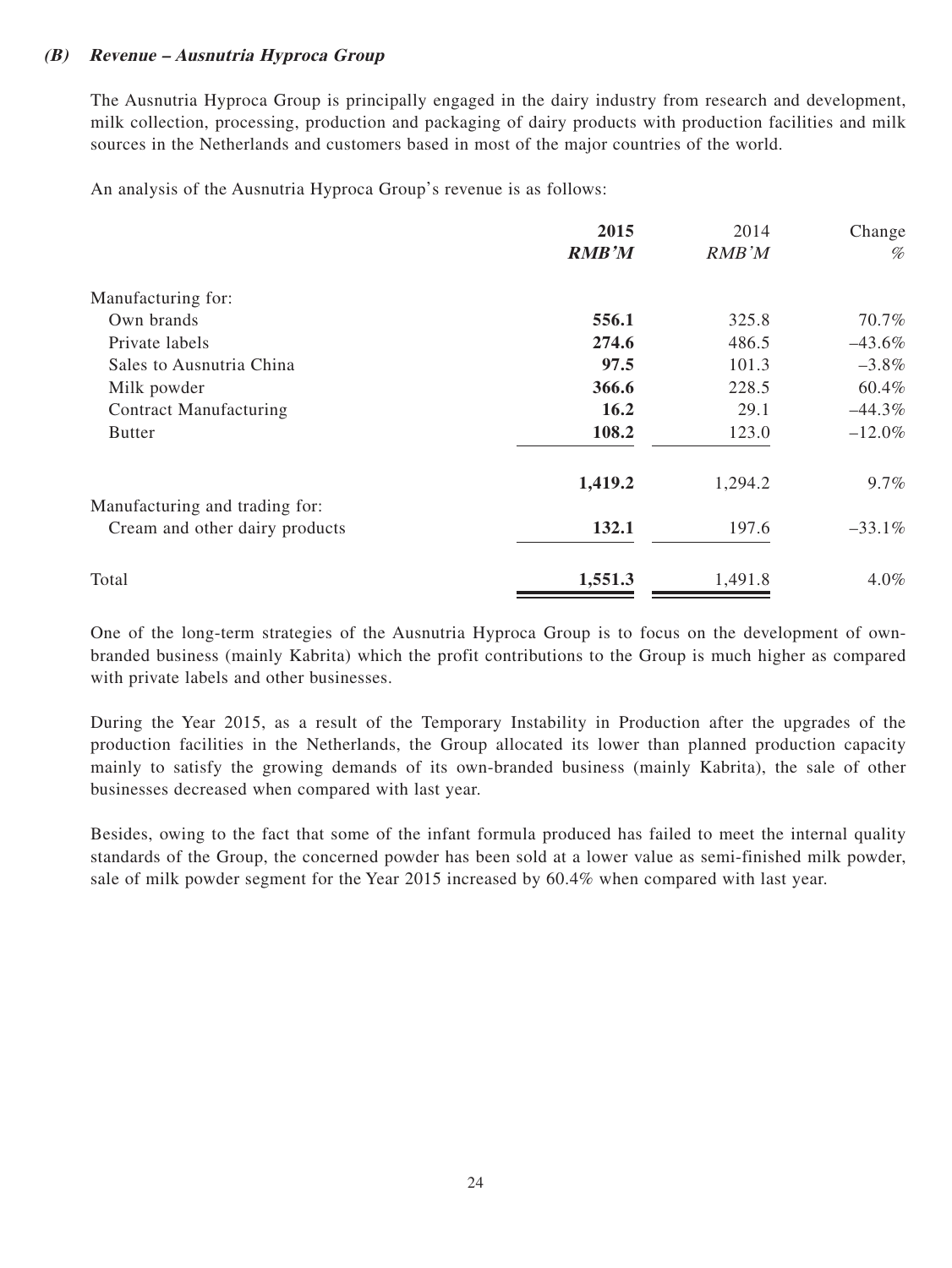### **(B) Revenue – Ausnutria Hyproca Group**

The Ausnutria Hyproca Group is principally engaged in the dairy industry from research and development, milk collection, processing, production and packaging of dairy products with production facilities and milk sources in the Netherlands and customers based in most of the major countries of the world.

An analysis of the Ausnutria Hyproca Group's revenue is as follows:

|                                | 2015         | 2014    | Change    |
|--------------------------------|--------------|---------|-----------|
|                                | <b>RMB'M</b> | RMB'M   | %         |
| Manufacturing for:             |              |         |           |
| Own brands                     | 556.1        | 325.8   | 70.7%     |
| Private labels                 | 274.6        | 486.5   | $-43.6%$  |
| Sales to Ausnutria China       | 97.5         | 101.3   | $-3.8\%$  |
| Milk powder                    | 366.6        | 228.5   | 60.4%     |
| <b>Contract Manufacturing</b>  | <b>16.2</b>  | 29.1    | $-44.3\%$ |
| <b>Butter</b>                  | 108.2        | 123.0   | $-12.0%$  |
|                                | 1,419.2      | 1,294.2 | $9.7\%$   |
| Manufacturing and trading for: |              |         |           |
| Cream and other dairy products | 132.1        | 197.6   | $-33.1%$  |
| Total                          | 1,551.3      | 1,491.8 | 4.0%      |
|                                |              |         |           |

One of the long-term strategies of the Ausnutria Hyproca Group is to focus on the development of ownbranded business (mainly Kabrita) which the profit contributions to the Group is much higher as compared with private labels and other businesses.

During the Year 2015, as a result of the Temporary Instability in Production after the upgrades of the production facilities in the Netherlands, the Group allocated its lower than planned production capacity mainly to satisfy the growing demands of its own-branded business (mainly Kabrita), the sale of other businesses decreased when compared with last year.

Besides, owing to the fact that some of the infant formula produced has failed to meet the internal quality standards of the Group, the concerned powder has been sold at a lower value as semi-finished milk powder, sale of milk powder segment for the Year 2015 increased by 60.4% when compared with last year.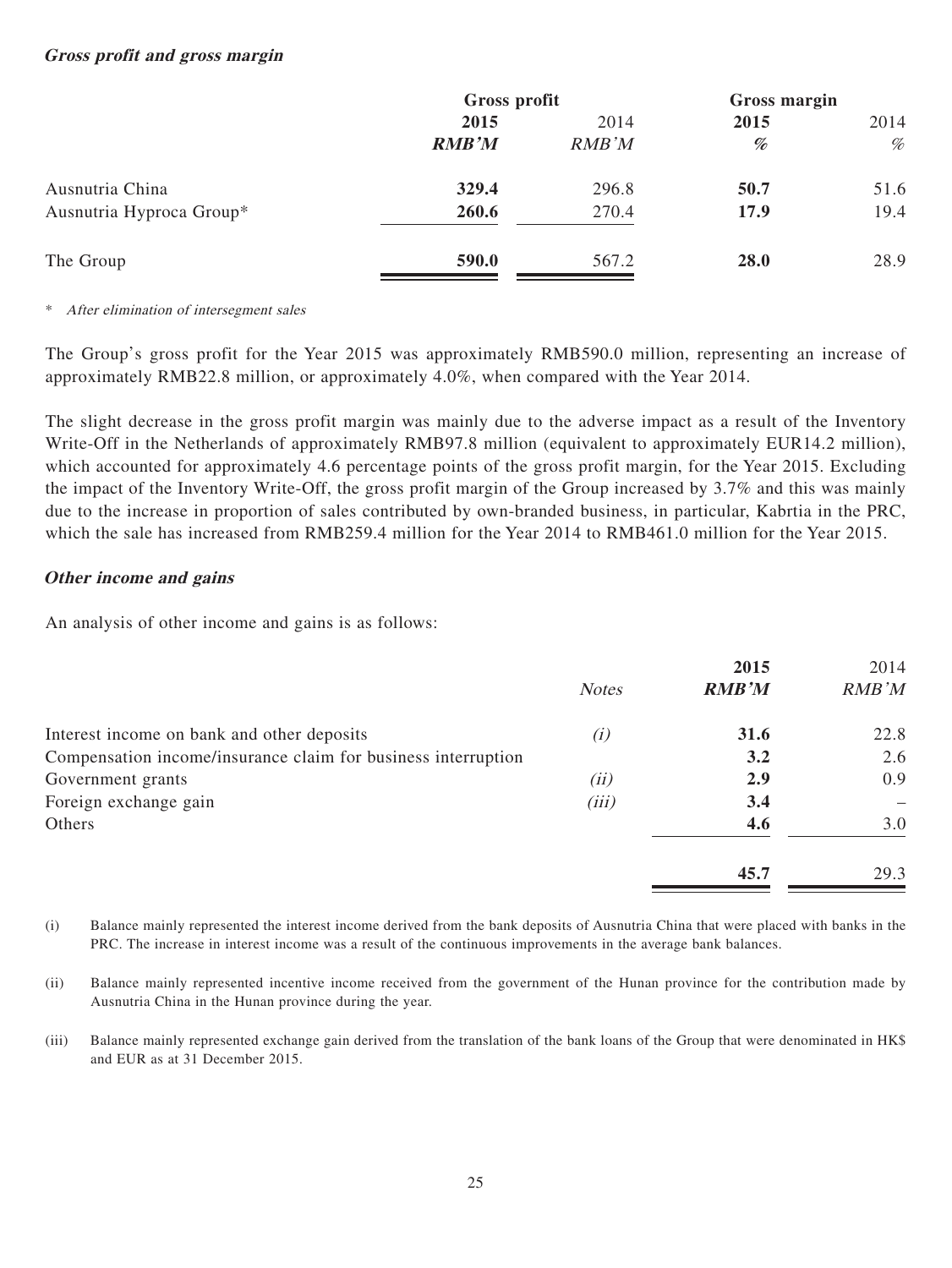#### **Gross profit and gross margin**

|                          | Gross profit |       | Gross margin |                                                                                                                                                            |
|--------------------------|--------------|-------|--------------|------------------------------------------------------------------------------------------------------------------------------------------------------------|
|                          | 2015         | 2014  | 2015         | 2014                                                                                                                                                       |
|                          | <b>RMB'M</b> | RMB'M | %            | $% \mathcal{D}_{\mathcal{A}}^{\mathcal{A}}\!\left( \mathcal{A} \right) = \mathcal{A}_{\mathcal{A}}^{\mathcal{A}}\!\left( \mathcal{A}_{\mathcal{A}}\right)$ |
| Ausnutria China          | 329.4        | 296.8 | 50.7         | 51.6                                                                                                                                                       |
| Ausnutria Hyproca Group* | 260.6        | 270.4 | 17.9         | 19.4                                                                                                                                                       |
| The Group                | 590.0        | 567.2 | 28.0         | 28.9                                                                                                                                                       |

\* After elimination of intersegment sales

The Group's gross profit for the Year 2015 was approximately RMB590.0 million, representing an increase of approximately RMB22.8 million, or approximately 4.0%, when compared with the Year 2014.

The slight decrease in the gross profit margin was mainly due to the adverse impact as a result of the Inventory Write-Off in the Netherlands of approximately RMB97.8 million (equivalent to approximately EUR14.2 million), which accounted for approximately 4.6 percentage points of the gross profit margin, for the Year 2015. Excluding the impact of the Inventory Write-Off, the gross profit margin of the Group increased by 3.7% and this was mainly due to the increase in proportion of sales contributed by own-branded business, in particular, Kabrtia in the PRC, which the sale has increased from RMB259.4 million for the Year 2014 to RMB461.0 million for the Year 2015.

#### **Other income and gains**

An analysis of other income and gains is as follows:

|                                                               |              | 2015         | 2014          |
|---------------------------------------------------------------|--------------|--------------|---------------|
|                                                               | <b>Notes</b> | <b>RMB'M</b> | <b>RMB</b> 'M |
| Interest income on bank and other deposits                    | (i)          | 31.6         | 22.8          |
| Compensation income/insurance claim for business interruption |              | 3.2          | 2.6           |
| Government grants                                             | (ii)         | 2.9          | 0.9           |
| Foreign exchange gain                                         | (iii)        | 3.4          |               |
| Others                                                        |              | 4.6          | 3.0           |
|                                                               |              | 45.7         | 29.3          |

(i) Balance mainly represented the interest income derived from the bank deposits of Ausnutria China that were placed with banks in the PRC. The increase in interest income was a result of the continuous improvements in the average bank balances.

- (ii) Balance mainly represented incentive income received from the government of the Hunan province for the contribution made by Ausnutria China in the Hunan province during the year.
- (iii) Balance mainly represented exchange gain derived from the translation of the bank loans of the Group that were denominated in HK\$ and EUR as at 31 December 2015.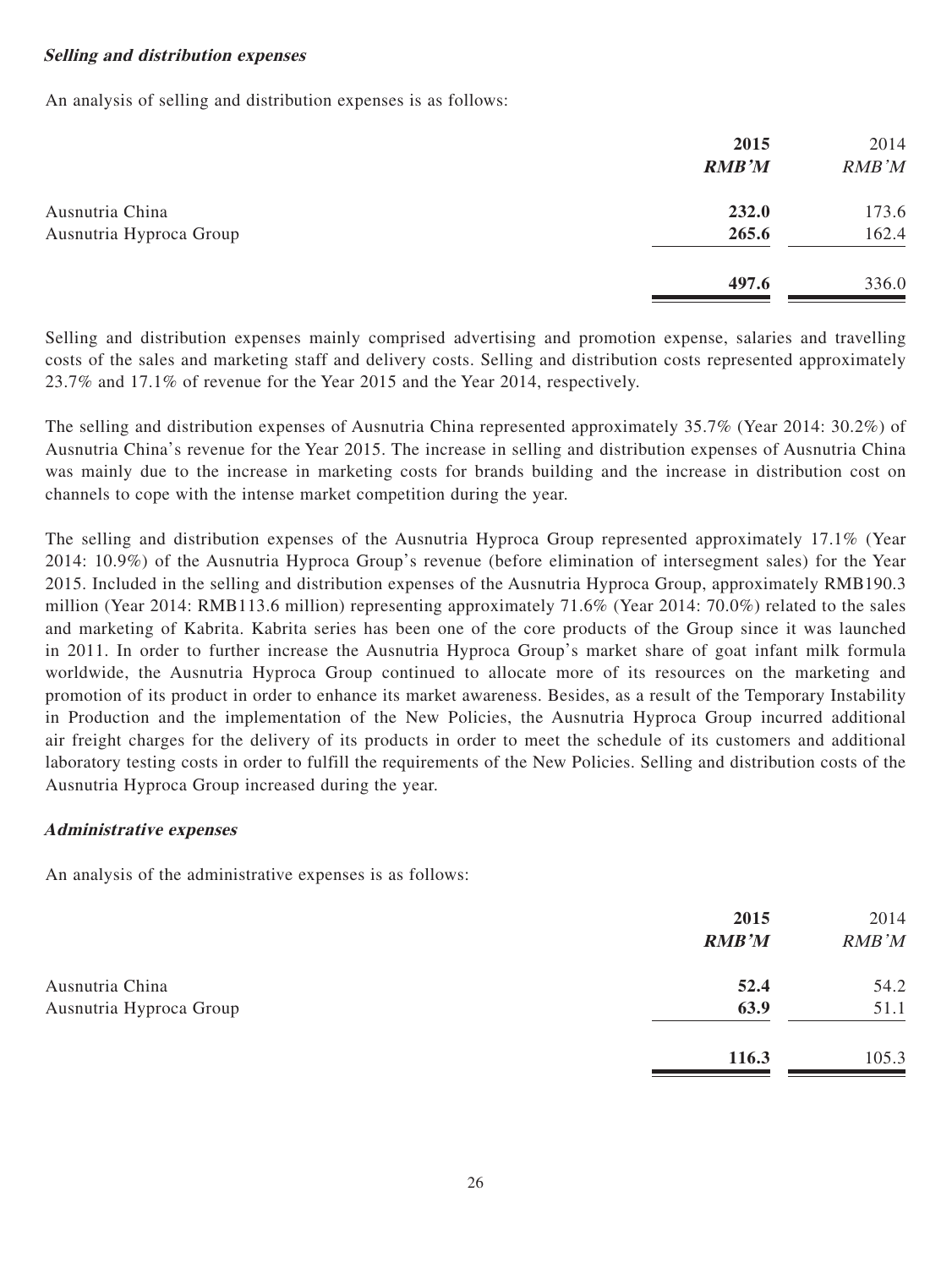#### **Selling and distribution expenses**

An analysis of selling and distribution expenses is as follows:

|                         | 2015<br><b>RMB'M</b> | 2014<br>RMB'M |
|-------------------------|----------------------|---------------|
| Ausnutria China         | 232.0                | 173.6         |
| Ausnutria Hyproca Group | 265.6                | 162.4         |
|                         | 497.6                | 336.0         |

Selling and distribution expenses mainly comprised advertising and promotion expense, salaries and travelling costs of the sales and marketing staff and delivery costs. Selling and distribution costs represented approximately 23.7% and 17.1% of revenue for the Year 2015 and the Year 2014, respectively.

The selling and distribution expenses of Ausnutria China represented approximately 35.7% (Year 2014: 30.2%) of Ausnutria China's revenue for the Year 2015. The increase in selling and distribution expenses of Ausnutria China was mainly due to the increase in marketing costs for brands building and the increase in distribution cost on channels to cope with the intense market competition during the year.

The selling and distribution expenses of the Ausnutria Hyproca Group represented approximately 17.1% (Year 2014: 10.9%) of the Ausnutria Hyproca Group's revenue (before elimination of intersegment sales) for the Year 2015. Included in the selling and distribution expenses of the Ausnutria Hyproca Group, approximately RMB190.3 million (Year 2014: RMB113.6 million) representing approximately 71.6% (Year 2014: 70.0%) related to the sales and marketing of Kabrita. Kabrita series has been one of the core products of the Group since it was launched in 2011. In order to further increase the Ausnutria Hyproca Group's market share of goat infant milk formula worldwide, the Ausnutria Hyproca Group continued to allocate more of its resources on the marketing and promotion of its product in order to enhance its market awareness. Besides, as a result of the Temporary Instability in Production and the implementation of the New Policies, the Ausnutria Hyproca Group incurred additional air freight charges for the delivery of its products in order to meet the schedule of its customers and additional laboratory testing costs in order to fulfill the requirements of the New Policies. Selling and distribution costs of the Ausnutria Hyproca Group increased during the year.

#### **Administrative expenses**

An analysis of the administrative expenses is as follows:

|                         | 2015<br><b>RMB'M</b> | 2014<br><b>RMB</b> 'M |
|-------------------------|----------------------|-----------------------|
| Ausnutria China         | 52.4                 | 54.2                  |
| Ausnutria Hyproca Group | 63.9                 | 51.1                  |
|                         | 116.3                | 105.3                 |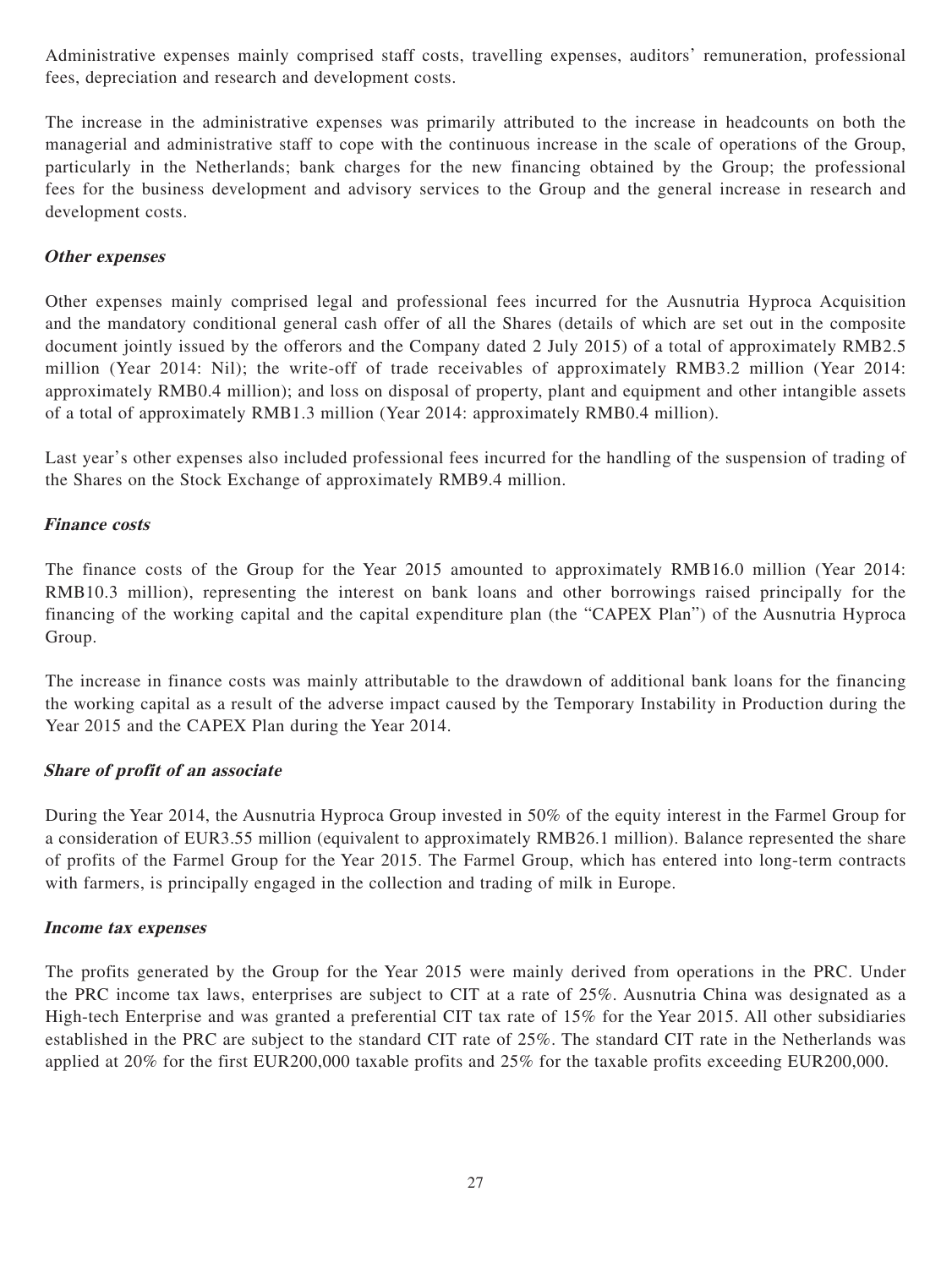Administrative expenses mainly comprised staff costs, travelling expenses, auditors' remuneration, professional fees, depreciation and research and development costs.

The increase in the administrative expenses was primarily attributed to the increase in headcounts on both the managerial and administrative staff to cope with the continuous increase in the scale of operations of the Group, particularly in the Netherlands; bank charges for the new financing obtained by the Group; the professional fees for the business development and advisory services to the Group and the general increase in research and development costs.

### **Other expenses**

Other expenses mainly comprised legal and professional fees incurred for the Ausnutria Hyproca Acquisition and the mandatory conditional general cash offer of all the Shares (details of which are set out in the composite document jointly issued by the offerors and the Company dated 2 July 2015) of a total of approximately RMB2.5 million (Year 2014: Nil); the write-off of trade receivables of approximately RMB3.2 million (Year 2014: approximately RMB0.4 million); and loss on disposal of property, plant and equipment and other intangible assets of a total of approximately RMB1.3 million (Year 2014: approximately RMB0.4 million).

Last year's other expenses also included professional fees incurred for the handling of the suspension of trading of the Shares on the Stock Exchange of approximately RMB9.4 million.

### **Finance costs**

The finance costs of the Group for the Year 2015 amounted to approximately RMB16.0 million (Year 2014: RMB10.3 million), representing the interest on bank loans and other borrowings raised principally for the financing of the working capital and the capital expenditure plan (the "CAPEX Plan") of the Ausnutria Hyproca Group.

The increase in finance costs was mainly attributable to the drawdown of additional bank loans for the financing the working capital as a result of the adverse impact caused by the Temporary Instability in Production during the Year 2015 and the CAPEX Plan during the Year 2014.

## **Share of profit of an associate**

During the Year 2014, the Ausnutria Hyproca Group invested in 50% of the equity interest in the Farmel Group for a consideration of EUR3.55 million (equivalent to approximately RMB26.1 million). Balance represented the share of profits of the Farmel Group for the Year 2015. The Farmel Group, which has entered into long-term contracts with farmers, is principally engaged in the collection and trading of milk in Europe.

#### **Income tax expenses**

The profits generated by the Group for the Year 2015 were mainly derived from operations in the PRC. Under the PRC income tax laws, enterprises are subject to CIT at a rate of 25%. Ausnutria China was designated as a High-tech Enterprise and was granted a preferential CIT tax rate of 15% for the Year 2015. All other subsidiaries established in the PRC are subject to the standard CIT rate of 25%. The standard CIT rate in the Netherlands was applied at 20% for the first EUR200,000 taxable profits and 25% for the taxable profits exceeding EUR200,000.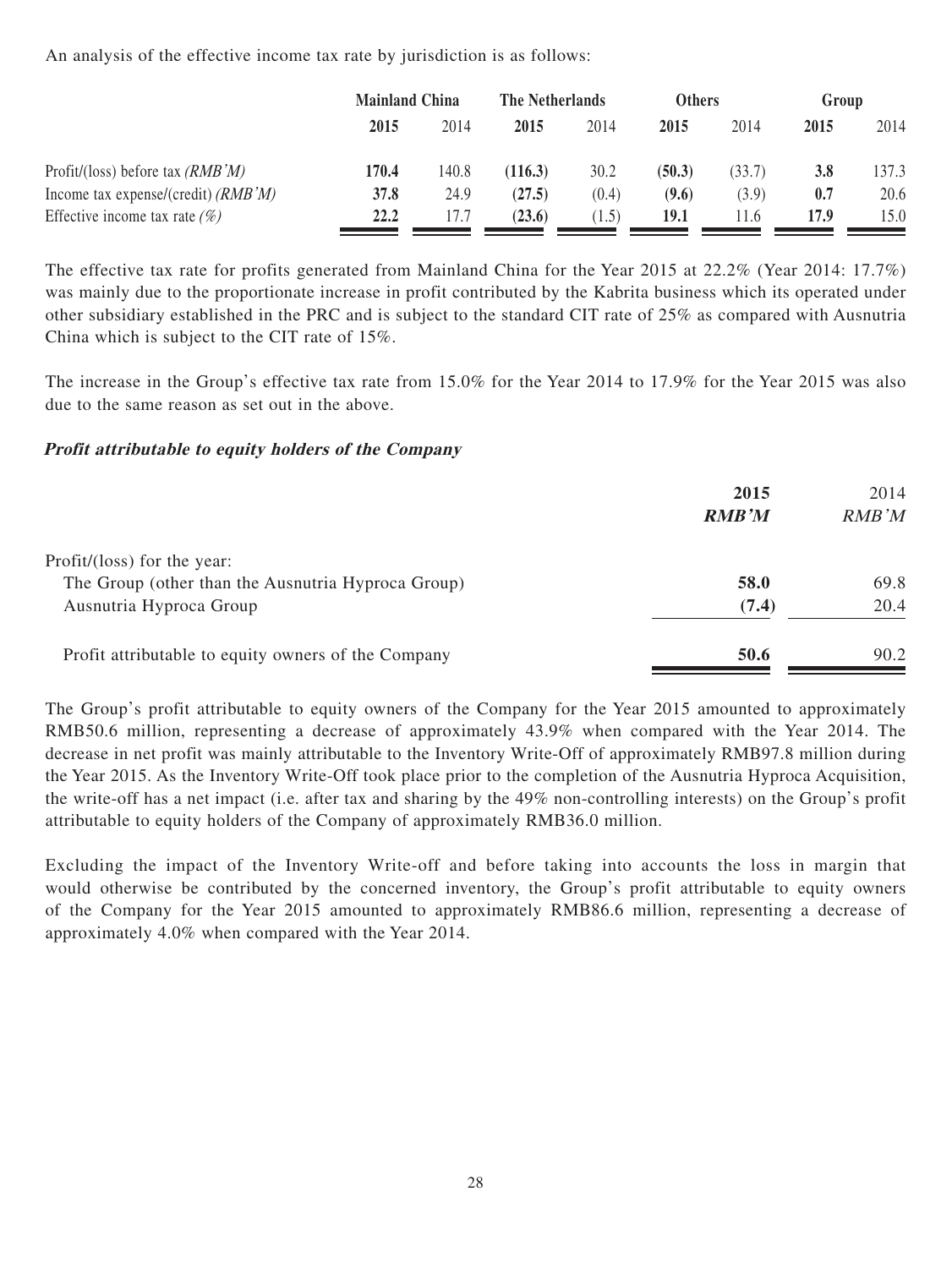An analysis of the effective income tax rate by jurisdiction is as follows:

|                                       | <b>Mainland China</b> |       | The Netherlands |       | <b>Others</b> |        | Group |       |
|---------------------------------------|-----------------------|-------|-----------------|-------|---------------|--------|-------|-------|
|                                       | 2015                  | 2014  | 2015            | 2014  | 2015          | 2014   | 2015  | 2014  |
| Profit/(loss) before tax $(RMB'M)$    | 170.4                 | 140.8 | (116.3)         | 30.2  | (50.3)        | (33.7) | 3.8   | 137.3 |
| Income tax expense/(credit) $(RMB'M)$ | 37.8                  | 24.9  | (27.5)          | (0.4) | (9.6)         | (3.9)  | 0.7   | 20.6  |
| Effective income tax rate $(\%)$      | 22.2                  | 17.7  | (23.6)          | 1.5)  | 19.1          | 1.6    | 17.9  | 15.0  |

The effective tax rate for profits generated from Mainland China for the Year 2015 at 22.2% (Year 2014: 17.7%) was mainly due to the proportionate increase in profit contributed by the Kabrita business which its operated under other subsidiary established in the PRC and is subject to the standard CIT rate of 25% as compared with Ausnutria China which is subject to the CIT rate of 15%.

The increase in the Group's effective tax rate from 15.0% for the Year 2014 to 17.9% for the Year 2015 was also due to the same reason as set out in the above.

## **Profit attributable to equity holders of the Company**

|                                                     | 2015<br><b>RMB'M</b> | 2014<br>RMB'M |
|-----------------------------------------------------|----------------------|---------------|
| Profit/(loss) for the year:                         |                      |               |
| The Group (other than the Ausnutria Hyproca Group)  | 58.0                 | 69.8          |
| Ausnutria Hyproca Group                             | (7.4)                | 20.4          |
| Profit attributable to equity owners of the Company | 50.6                 | 90.2          |

The Group's profit attributable to equity owners of the Company for the Year 2015 amounted to approximately RMB50.6 million, representing a decrease of approximately 43.9% when compared with the Year 2014. The decrease in net profit was mainly attributable to the Inventory Write-Off of approximately RMB97.8 million during the Year 2015. As the Inventory Write-Off took place prior to the completion of the Ausnutria Hyproca Acquisition, the write-off has a net impact (i.e. after tax and sharing by the 49% non-controlling interests) on the Group's profit attributable to equity holders of the Company of approximately RMB36.0 million.

Excluding the impact of the Inventory Write-off and before taking into accounts the loss in margin that would otherwise be contributed by the concerned inventory, the Group's profit attributable to equity owners of the Company for the Year 2015 amounted to approximately RMB86.6 million, representing a decrease of approximately 4.0% when compared with the Year 2014.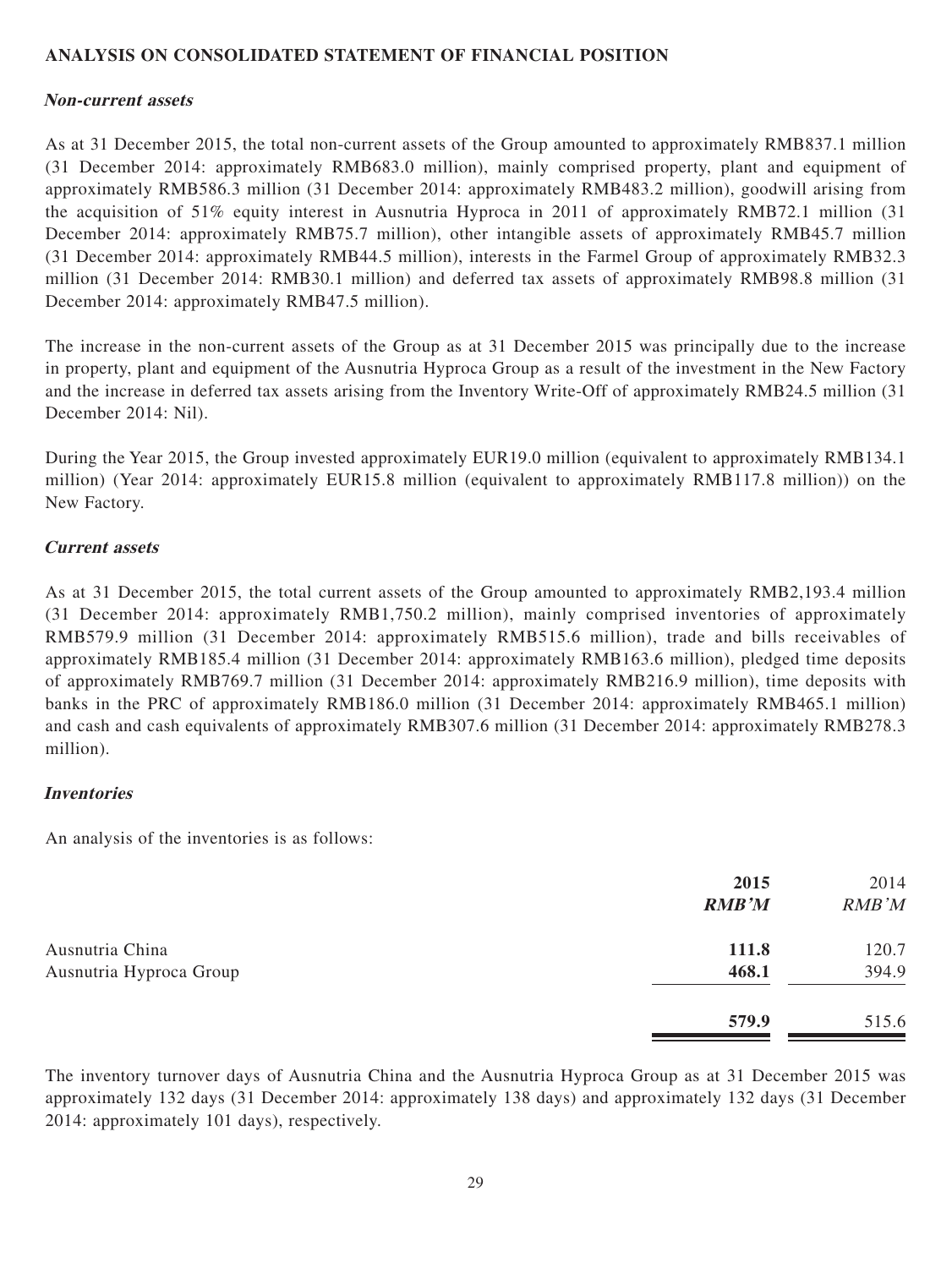### **ANALYSIS ON CONSOLIDATED STATEMENT OF FINANCIAL POSITION**

#### **Non-current assets**

As at 31 December 2015, the total non-current assets of the Group amounted to approximately RMB837.1 million (31 December 2014: approximately RMB683.0 million), mainly comprised property, plant and equipment of approximately RMB586.3 million (31 December 2014: approximately RMB483.2 million), goodwill arising from the acquisition of 51% equity interest in Ausnutria Hyproca in 2011 of approximately RMB72.1 million (31 December 2014: approximately RMB75.7 million), other intangible assets of approximately RMB45.7 million (31 December 2014: approximately RMB44.5 million), interests in the Farmel Group of approximately RMB32.3 million (31 December 2014: RMB30.1 million) and deferred tax assets of approximately RMB98.8 million (31 December 2014: approximately RMB47.5 million).

The increase in the non-current assets of the Group as at 31 December 2015 was principally due to the increase in property, plant and equipment of the Ausnutria Hyproca Group as a result of the investment in the New Factory and the increase in deferred tax assets arising from the Inventory Write-Off of approximately RMB24.5 million (31 December 2014: Nil).

During the Year 2015, the Group invested approximately EUR19.0 million (equivalent to approximately RMB134.1 million) (Year 2014: approximately EUR15.8 million (equivalent to approximately RMB117.8 million)) on the New Factory.

#### **Current assets**

As at 31 December 2015, the total current assets of the Group amounted to approximately RMB2,193.4 million (31 December 2014: approximately RMB1,750.2 million), mainly comprised inventories of approximately RMB579.9 million (31 December 2014: approximately RMB515.6 million), trade and bills receivables of approximately RMB185.4 million (31 December 2014: approximately RMB163.6 million), pledged time deposits of approximately RMB769.7 million (31 December 2014: approximately RMB216.9 million), time deposits with banks in the PRC of approximately RMB186.0 million (31 December 2014: approximately RMB465.1 million) and cash and cash equivalents of approximately RMB307.6 million (31 December 2014: approximately RMB278.3 million).

#### **Inventories**

An analysis of the inventories is as follows:

|                         | 2015<br><b>RMB'M</b> | 2014<br>RMB'M |
|-------------------------|----------------------|---------------|
| Ausnutria China         | 111.8                | 120.7         |
| Ausnutria Hyproca Group | 468.1                | 394.9         |
|                         | 579.9                | 515.6         |

The inventory turnover days of Ausnutria China and the Ausnutria Hyproca Group as at 31 December 2015 was approximately 132 days (31 December 2014: approximately 138 days) and approximately 132 days (31 December 2014: approximately 101 days), respectively.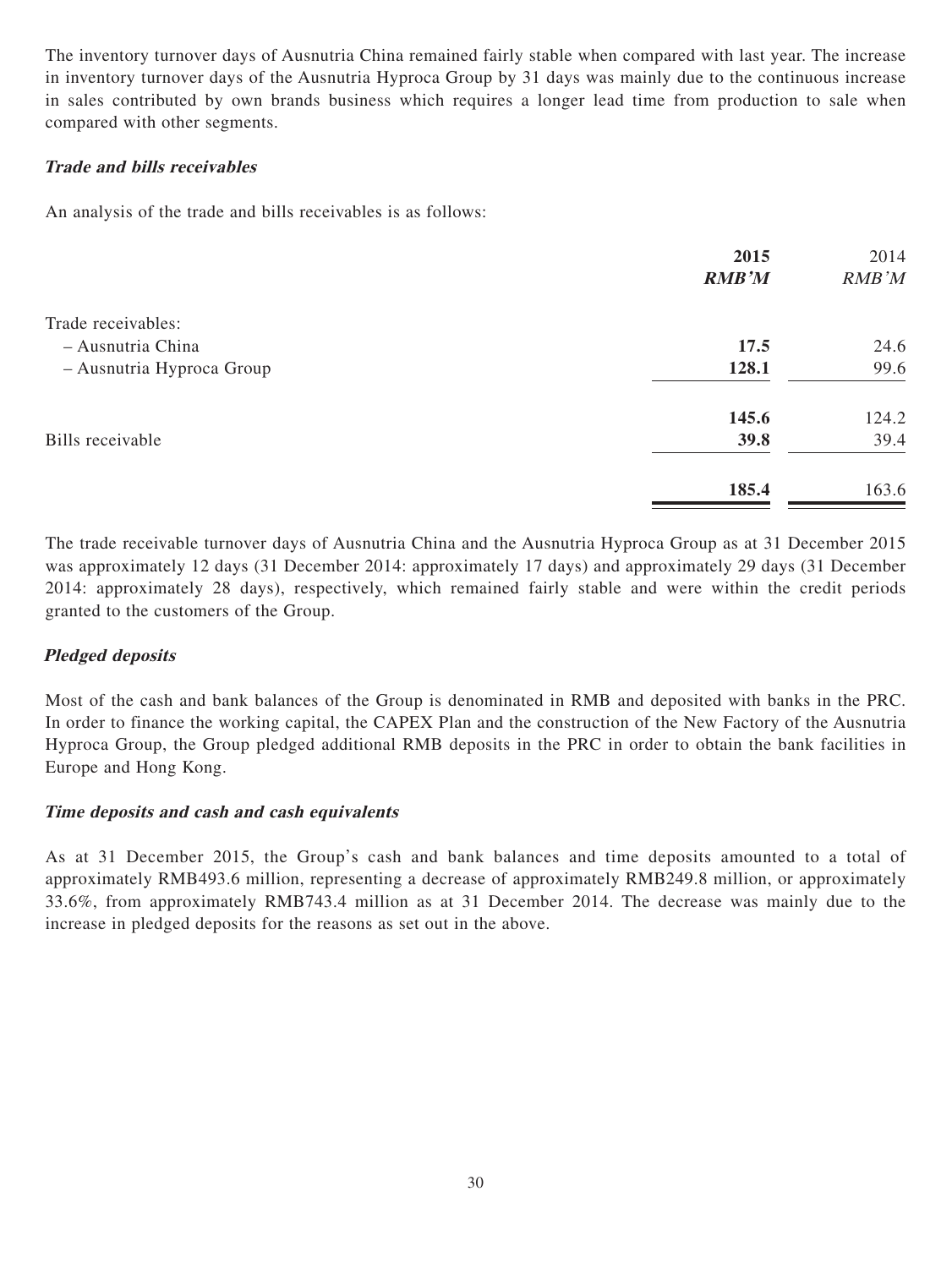The inventory turnover days of Ausnutria China remained fairly stable when compared with last year. The increase in inventory turnover days of the Ausnutria Hyproca Group by 31 days was mainly due to the continuous increase in sales contributed by own brands business which requires a longer lead time from production to sale when compared with other segments.

## **Trade and bills receivables**

An analysis of the trade and bills receivables is as follows:

| RMB'M |
|-------|
|       |
| 24.6  |
| 99.6  |
| 124.2 |
| 39.4  |
| 163.6 |
|       |

The trade receivable turnover days of Ausnutria China and the Ausnutria Hyproca Group as at 31 December 2015 was approximately 12 days (31 December 2014: approximately 17 days) and approximately 29 days (31 December 2014: approximately 28 days), respectively, which remained fairly stable and were within the credit periods granted to the customers of the Group.

## **Pledged deposits**

Most of the cash and bank balances of the Group is denominated in RMB and deposited with banks in the PRC. In order to finance the working capital, the CAPEX Plan and the construction of the New Factory of the Ausnutria Hyproca Group, the Group pledged additional RMB deposits in the PRC in order to obtain the bank facilities in Europe and Hong Kong.

#### **Time deposits and cash and cash equivalents**

As at 31 December 2015, the Group's cash and bank balances and time deposits amounted to a total of approximately RMB493.6 million, representing a decrease of approximately RMB249.8 million, or approximately 33.6%, from approximately RMB743.4 million as at 31 December 2014. The decrease was mainly due to the increase in pledged deposits for the reasons as set out in the above.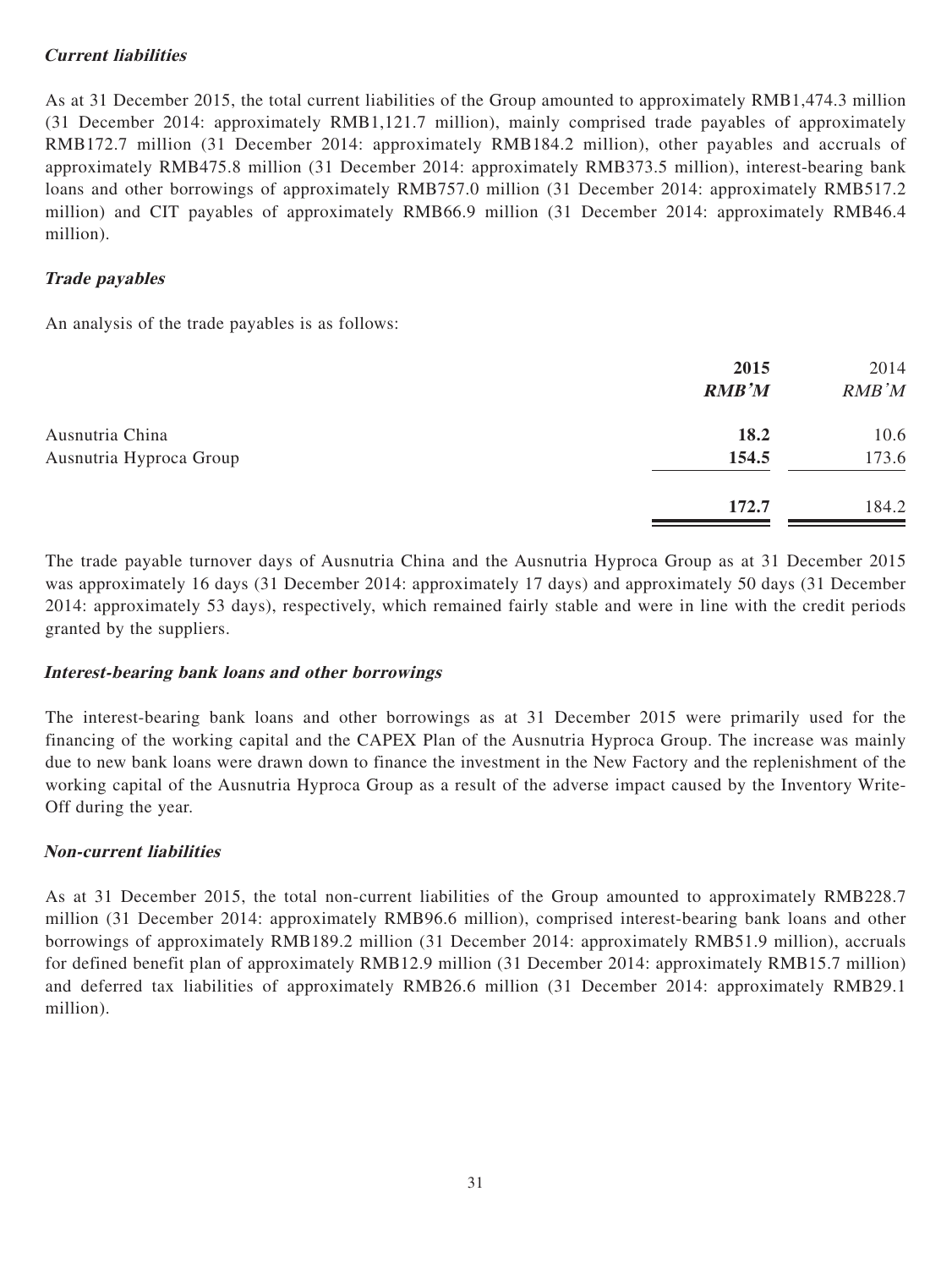## **Current liabilities**

As at 31 December 2015, the total current liabilities of the Group amounted to approximately RMB1,474.3 million (31 December 2014: approximately RMB1,121.7 million), mainly comprised trade payables of approximately RMB172.7 million (31 December 2014: approximately RMB184.2 million), other payables and accruals of approximately RMB475.8 million (31 December 2014: approximately RMB373.5 million), interest-bearing bank loans and other borrowings of approximately RMB757.0 million (31 December 2014: approximately RMB517.2 million) and CIT payables of approximately RMB66.9 million (31 December 2014: approximately RMB46.4 million).

## **Trade payables**

An analysis of the trade payables is as follows:

| 2015<br><b>RMB'M</b> | 2014<br>RMB'M |
|----------------------|---------------|
| 18.2                 | 10.6          |
| 154.5                | 173.6         |
| 172.7                | 184.2         |
|                      |               |

The trade payable turnover days of Ausnutria China and the Ausnutria Hyproca Group as at 31 December 2015 was approximately 16 days (31 December 2014: approximately 17 days) and approximately 50 days (31 December 2014: approximately 53 days), respectively, which remained fairly stable and were in line with the credit periods granted by the suppliers.

#### **Interest-bearing bank loans and other borrowings**

The interest-bearing bank loans and other borrowings as at 31 December 2015 were primarily used for the financing of the working capital and the CAPEX Plan of the Ausnutria Hyproca Group. The increase was mainly due to new bank loans were drawn down to finance the investment in the New Factory and the replenishment of the working capital of the Ausnutria Hyproca Group as a result of the adverse impact caused by the Inventory Write-Off during the year.

## **Non-current liabilities**

As at 31 December 2015, the total non-current liabilities of the Group amounted to approximately RMB228.7 million (31 December 2014: approximately RMB96.6 million), comprised interest-bearing bank loans and other borrowings of approximately RMB189.2 million (31 December 2014: approximately RMB51.9 million), accruals for defined benefit plan of approximately RMB12.9 million (31 December 2014: approximately RMB15.7 million) and deferred tax liabilities of approximately RMB26.6 million (31 December 2014: approximately RMB29.1 million).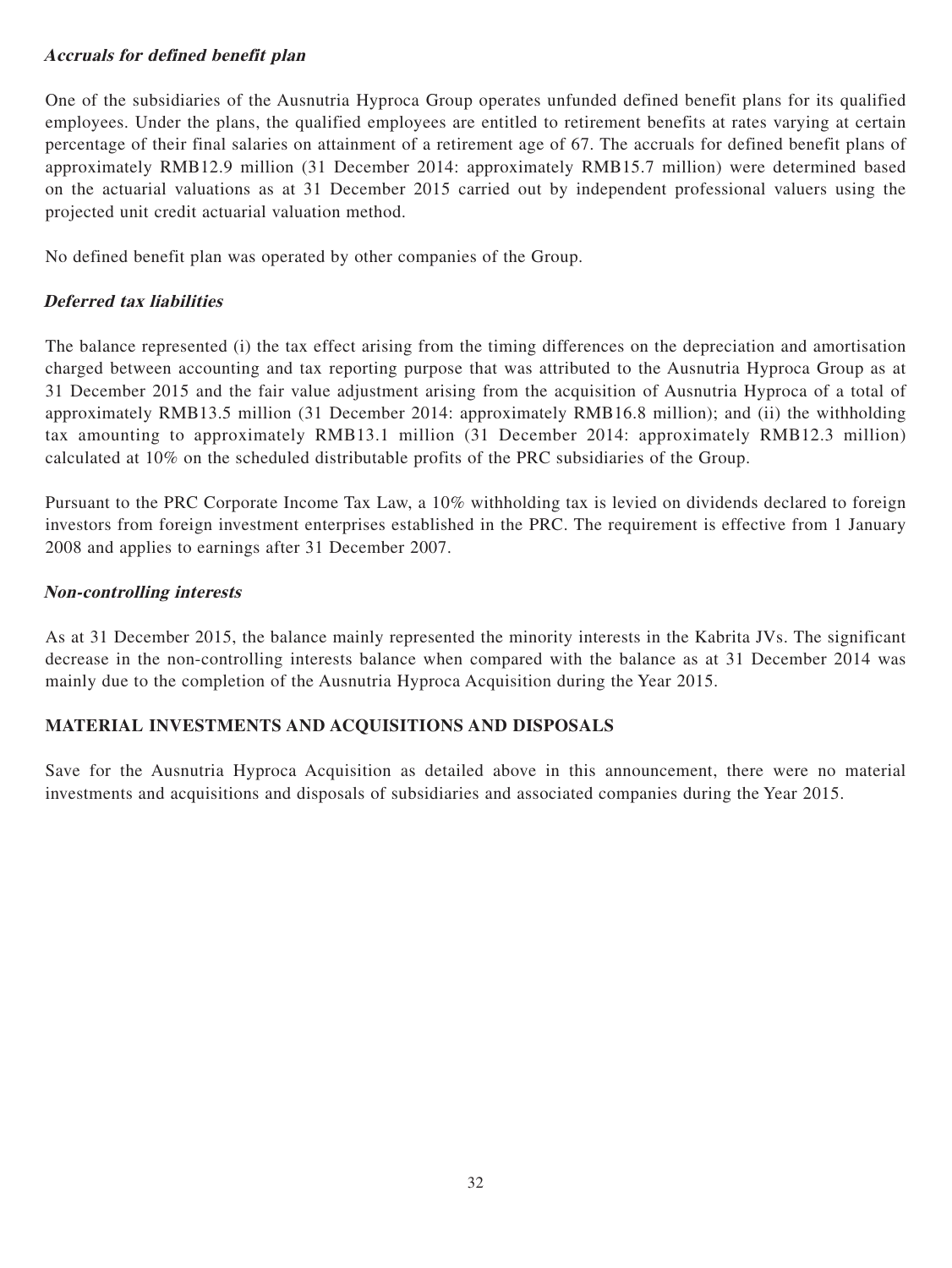## **Accruals for defined benefit plan**

One of the subsidiaries of the Ausnutria Hyproca Group operates unfunded defined benefit plans for its qualified employees. Under the plans, the qualified employees are entitled to retirement benefits at rates varying at certain percentage of their final salaries on attainment of a retirement age of 67. The accruals for defined benefit plans of approximately RMB12.9 million (31 December 2014: approximately RMB15.7 million) were determined based on the actuarial valuations as at 31 December 2015 carried out by independent professional valuers using the projected unit credit actuarial valuation method.

No defined benefit plan was operated by other companies of the Group.

## **Deferred tax liabilities**

The balance represented (i) the tax effect arising from the timing differences on the depreciation and amortisation charged between accounting and tax reporting purpose that was attributed to the Ausnutria Hyproca Group as at 31 December 2015 and the fair value adjustment arising from the acquisition of Ausnutria Hyproca of a total of approximately RMB13.5 million (31 December 2014: approximately RMB16.8 million); and (ii) the withholding tax amounting to approximately RMB13.1 million (31 December 2014: approximately RMB12.3 million) calculated at 10% on the scheduled distributable profits of the PRC subsidiaries of the Group.

Pursuant to the PRC Corporate Income Tax Law, a 10% withholding tax is levied on dividends declared to foreign investors from foreign investment enterprises established in the PRC. The requirement is effective from 1 January 2008 and applies to earnings after 31 December 2007.

#### **Non-controlling interests**

As at 31 December 2015, the balance mainly represented the minority interests in the Kabrita JVs. The significant decrease in the non-controlling interests balance when compared with the balance as at 31 December 2014 was mainly due to the completion of the Ausnutria Hyproca Acquisition during the Year 2015.

## **MATERIAL INVESTMENTS AND ACQUISITIONS AND DISPOSALS**

Save for the Ausnutria Hyproca Acquisition as detailed above in this announcement, there were no material investments and acquisitions and disposals of subsidiaries and associated companies during the Year 2015.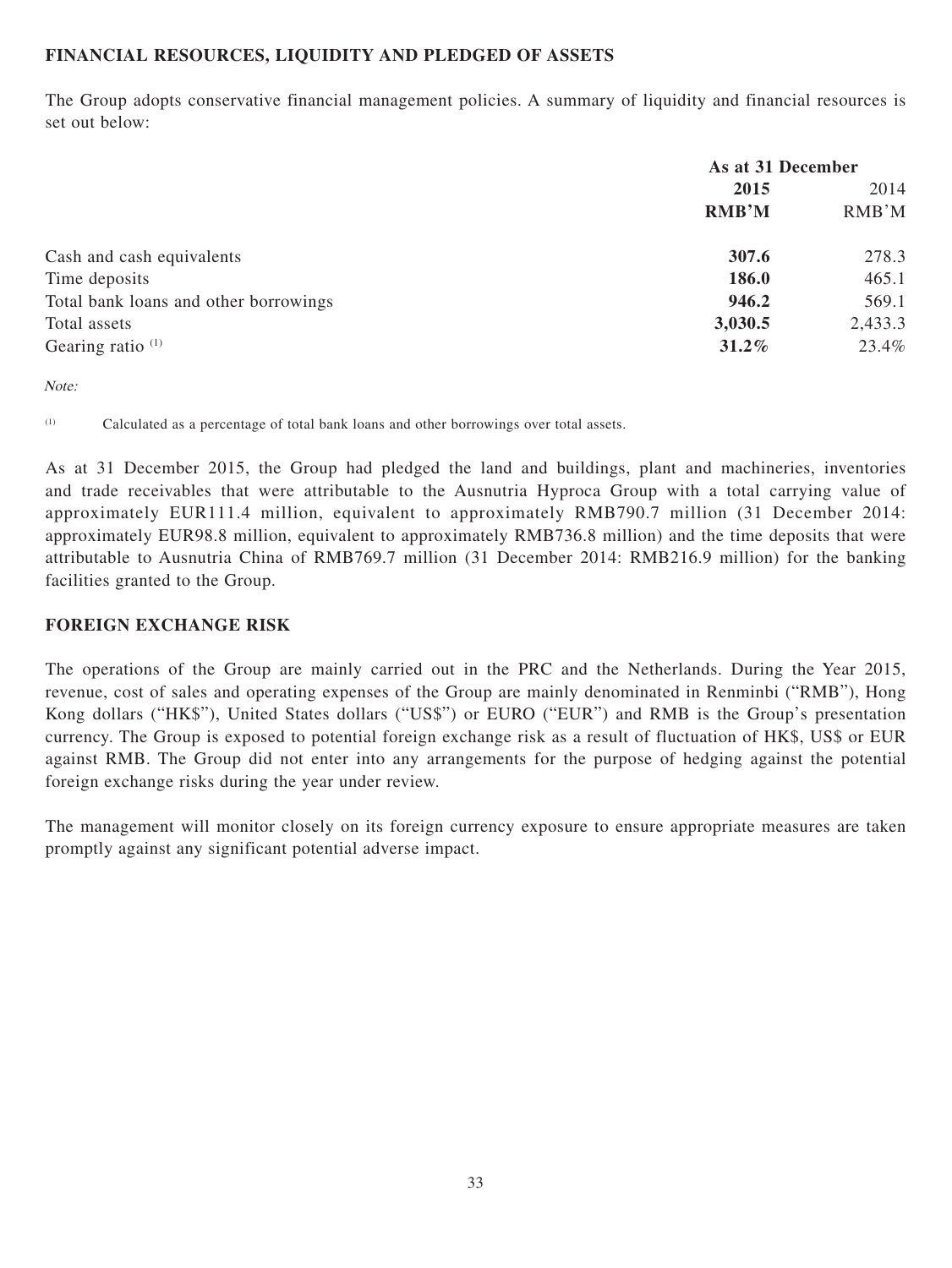## **FINANCIAL RESOURCES, LIQUIDITY AND PLEDGED OF ASSETS**

The Group adopts conservative financial management policies. A summary of liquidity and financial resources is set out below:

|                                       | As at 31 December |         |
|---------------------------------------|-------------------|---------|
|                                       | 2015              |         |
|                                       | <b>RMB'M</b>      | RMB'M   |
| Cash and cash equivalents             | 307.6             | 278.3   |
| Time deposits                         | 186.0             | 465.1   |
| Total bank loans and other borrowings | 946.2             | 569.1   |
| Total assets                          | 3,030.5           | 2,433.3 |
| Gearing ratio $(1)$                   | 31.2%             | 23.4%   |

Note:

(1) Calculated as a percentage of total bank loans and other borrowings over total assets.

As at 31 December 2015, the Group had pledged the land and buildings, plant and machineries, inventories and trade receivables that were attributable to the Ausnutria Hyproca Group with a total carrying value of approximately EUR111.4 million, equivalent to approximately RMB790.7 million (31 December 2014: approximately EUR98.8 million, equivalent to approximately RMB736.8 million) and the time deposits that were attributable to Ausnutria China of RMB769.7 million (31 December 2014: RMB216.9 million) for the banking facilities granted to the Group.

#### **FOREIGN EXCHANGE RISK**

The operations of the Group are mainly carried out in the PRC and the Netherlands. During the Year 2015, revenue, cost of sales and operating expenses of the Group are mainly denominated in Renminbi ("RMB"), Hong Kong dollars ("HK\$"), United States dollars ("US\$") or EURO ("EUR") and RMB is the Group's presentation currency. The Group is exposed to potential foreign exchange risk as a result of fluctuation of HK\$, US\$ or EUR against RMB. The Group did not enter into any arrangements for the purpose of hedging against the potential foreign exchange risks during the year under review.

The management will monitor closely on its foreign currency exposure to ensure appropriate measures are taken promptly against any significant potential adverse impact.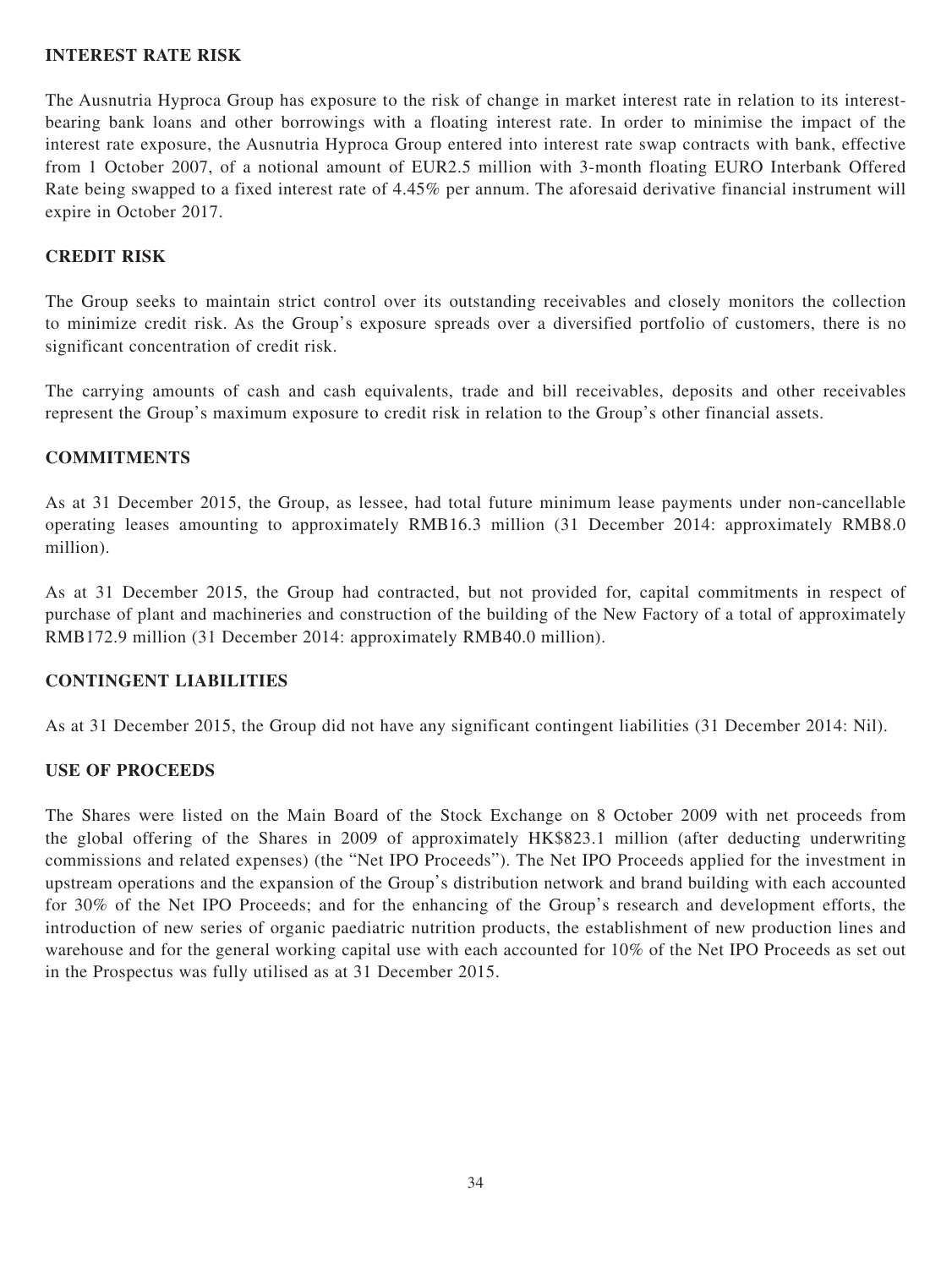#### **INTEREST RATE RISK**

The Ausnutria Hyproca Group has exposure to the risk of change in market interest rate in relation to its interestbearing bank loans and other borrowings with a floating interest rate. In order to minimise the impact of the interest rate exposure, the Ausnutria Hyproca Group entered into interest rate swap contracts with bank, effective from 1 October 2007, of a notional amount of EUR2.5 million with 3-month floating EURO Interbank Offered Rate being swapped to a fixed interest rate of 4.45% per annum. The aforesaid derivative financial instrument will expire in October 2017.

## **CREDIT RISK**

The Group seeks to maintain strict control over its outstanding receivables and closely monitors the collection to minimize credit risk. As the Group's exposure spreads over a diversified portfolio of customers, there is no significant concentration of credit risk.

The carrying amounts of cash and cash equivalents, trade and bill receivables, deposits and other receivables represent the Group's maximum exposure to credit risk in relation to the Group's other financial assets.

### **COMMITMENTS**

As at 31 December 2015, the Group, as lessee, had total future minimum lease payments under non-cancellable operating leases amounting to approximately RMB16.3 million (31 December 2014: approximately RMB8.0 million).

As at 31 December 2015, the Group had contracted, but not provided for, capital commitments in respect of purchase of plant and machineries and construction of the building of the New Factory of a total of approximately RMB172.9 million (31 December 2014: approximately RMB40.0 million).

#### **CONTINGENT LIABILITIES**

As at 31 December 2015, the Group did not have any significant contingent liabilities (31 December 2014: Nil).

#### **USE OF PROCEEDS**

The Shares were listed on the Main Board of the Stock Exchange on 8 October 2009 with net proceeds from the global offering of the Shares in 2009 of approximately HK\$823.1 million (after deducting underwriting commissions and related expenses) (the "Net IPO Proceeds"). The Net IPO Proceeds applied for the investment in upstream operations and the expansion of the Group's distribution network and brand building with each accounted for 30% of the Net IPO Proceeds; and for the enhancing of the Group's research and development efforts, the introduction of new series of organic paediatric nutrition products, the establishment of new production lines and warehouse and for the general working capital use with each accounted for 10% of the Net IPO Proceeds as set out in the Prospectus was fully utilised as at 31 December 2015.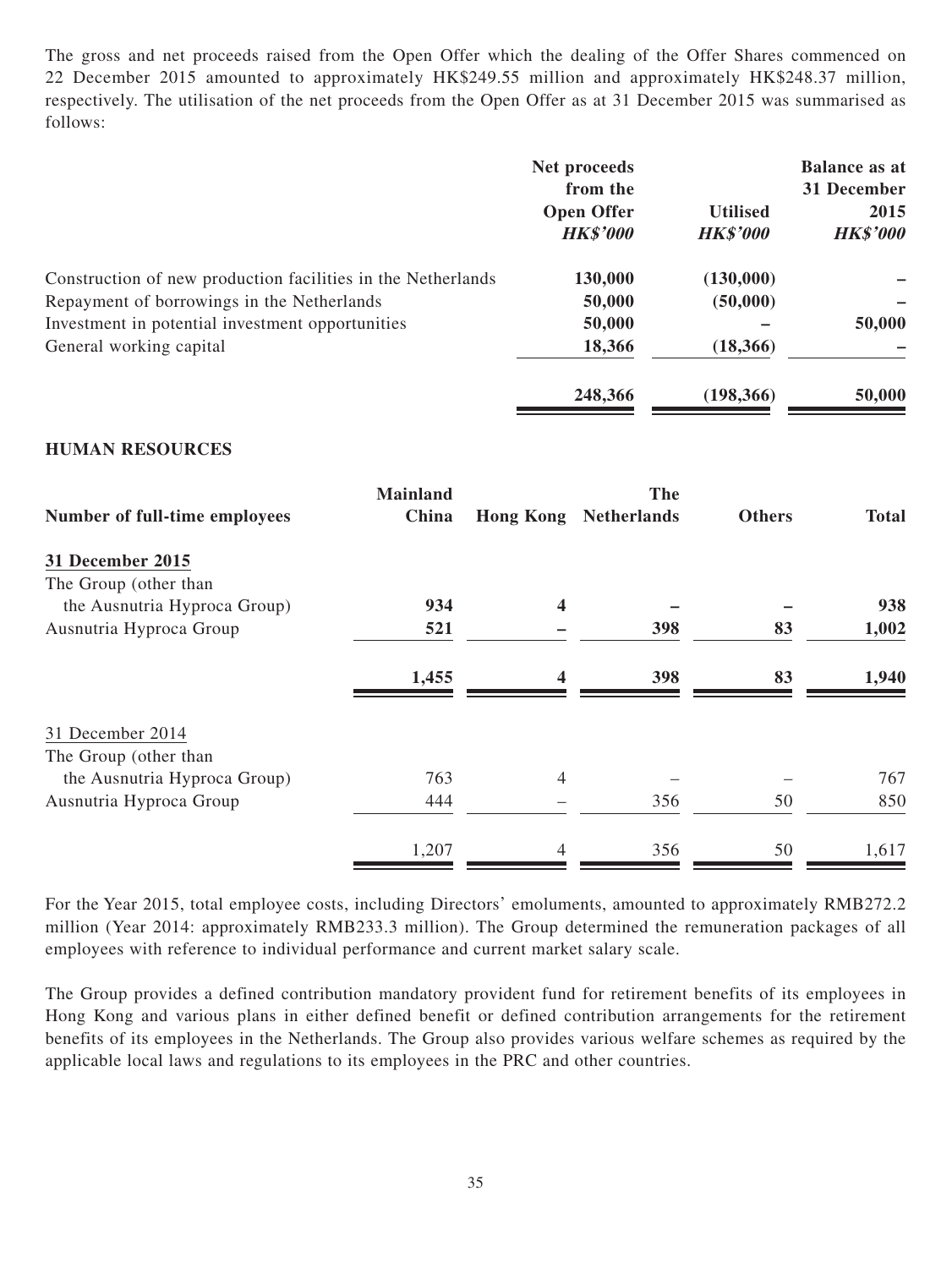The gross and net proceeds raised from the Open Offer which the dealing of the Offer Shares commenced on 22 December 2015 amounted to approximately HK\$249.55 million and approximately HK\$248.37 million, respectively. The utilisation of the net proceeds from the Open Offer as at 31 December 2015 was summarised as follows:

|                                                              | Net proceeds<br>from the             |                                    | <b>Balance as at</b><br>31 December |
|--------------------------------------------------------------|--------------------------------------|------------------------------------|-------------------------------------|
|                                                              | <b>Open Offer</b><br><b>HK\$'000</b> | <b>Utilised</b><br><b>HK\$'000</b> | 2015<br><b>HK\$'000</b>             |
| Construction of new production facilities in the Netherlands | 130,000                              | (130,000)                          |                                     |
| Repayment of borrowings in the Netherlands                   | 50,000                               | (50,000)                           |                                     |
| Investment in potential investment opportunities             | 50,000                               |                                    | 50,000                              |
| General working capital                                      | 18,366                               | (18,366)                           |                                     |
|                                                              | 248,366                              | (198, 366)                         | 50,000                              |

#### **HUMAN RESOURCES**

| Number of full-time employees | <b>Mainland</b> | The                     |                    |               |              |
|-------------------------------|-----------------|-------------------------|--------------------|---------------|--------------|
|                               | China           | <b>Hong Kong</b>        | <b>Netherlands</b> | <b>Others</b> | <b>Total</b> |
| <b>31 December 2015</b>       |                 |                         |                    |               |              |
| The Group (other than         |                 |                         |                    |               |              |
| the Ausnutria Hyproca Group)  | 934             | $\overline{\mathbf{4}}$ |                    |               | 938          |
| Ausnutria Hyproca Group       | 521             |                         | 398                | 83            | 1,002        |
|                               | 1,455           | $\boldsymbol{4}$        | 398                | 83            | 1,940        |
| 31 December 2014              |                 |                         |                    |               |              |
| The Group (other than         |                 |                         |                    |               |              |
| the Ausnutria Hyproca Group)  | 763             | 4                       |                    |               | 767          |
| Ausnutria Hyproca Group       | 444             |                         | 356                | 50            | 850          |
|                               | 1,207           | 4                       | 356                | 50            | 1,617        |

For the Year 2015, total employee costs, including Directors' emoluments, amounted to approximately RMB272.2 million (Year 2014: approximately RMB233.3 million). The Group determined the remuneration packages of all employees with reference to individual performance and current market salary scale.

The Group provides a defined contribution mandatory provident fund for retirement benefits of its employees in Hong Kong and various plans in either defined benefit or defined contribution arrangements for the retirement benefits of its employees in the Netherlands. The Group also provides various welfare schemes as required by the applicable local laws and regulations to its employees in the PRC and other countries.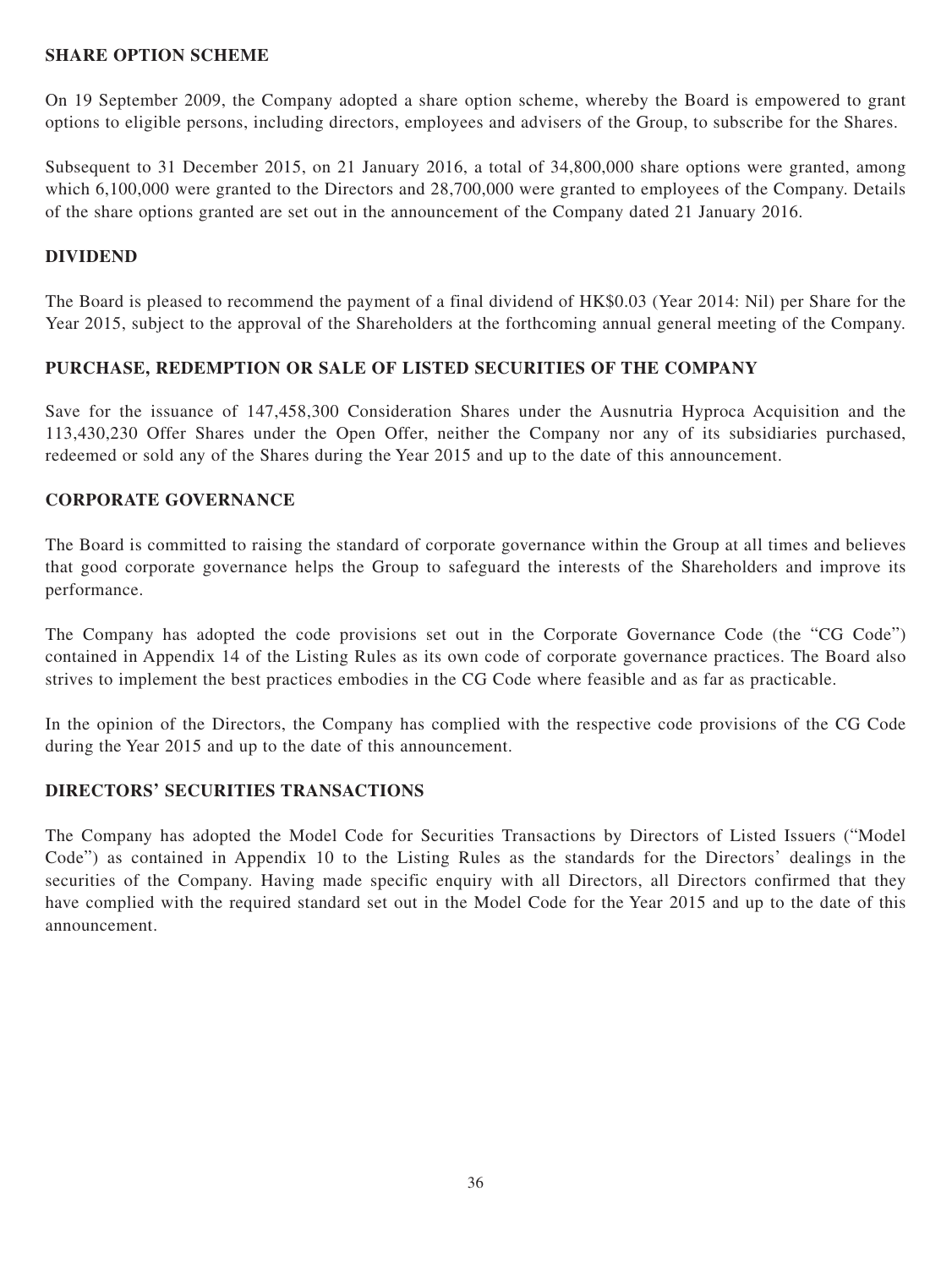#### **SHARE OPTION SCHEME**

On 19 September 2009, the Company adopted a share option scheme, whereby the Board is empowered to grant options to eligible persons, including directors, employees and advisers of the Group, to subscribe for the Shares.

Subsequent to 31 December 2015, on 21 January 2016, a total of 34,800,000 share options were granted, among which 6,100,000 were granted to the Directors and 28,700,000 were granted to employees of the Company. Details of the share options granted are set out in the announcement of the Company dated 21 January 2016.

#### **DIVIDEND**

The Board is pleased to recommend the payment of a final dividend of HK\$0.03 (Year 2014: Nil) per Share for the Year 2015, subject to the approval of the Shareholders at the forthcoming annual general meeting of the Company.

#### **PURCHASE, REDEMPTION OR SALE OF LISTED SECURITIES OF THE COMPANY**

Save for the issuance of 147,458,300 Consideration Shares under the Ausnutria Hyproca Acquisition and the 113,430,230 Offer Shares under the Open Offer, neither the Company nor any of its subsidiaries purchased, redeemed or sold any of the Shares during the Year 2015 and up to the date of this announcement.

#### **CORPORATE GOVERNANCE**

The Board is committed to raising the standard of corporate governance within the Group at all times and believes that good corporate governance helps the Group to safeguard the interests of the Shareholders and improve its performance.

The Company has adopted the code provisions set out in the Corporate Governance Code (the "CG Code") contained in Appendix 14 of the Listing Rules as its own code of corporate governance practices. The Board also strives to implement the best practices embodies in the CG Code where feasible and as far as practicable.

In the opinion of the Directors, the Company has complied with the respective code provisions of the CG Code during the Year 2015 and up to the date of this announcement.

#### **DIRECTORS' SECURITIES TRANSACTIONS**

The Company has adopted the Model Code for Securities Transactions by Directors of Listed Issuers ("Model Code") as contained in Appendix 10 to the Listing Rules as the standards for the Directors' dealings in the securities of the Company. Having made specific enquiry with all Directors, all Directors confirmed that they have complied with the required standard set out in the Model Code for the Year 2015 and up to the date of this announcement.